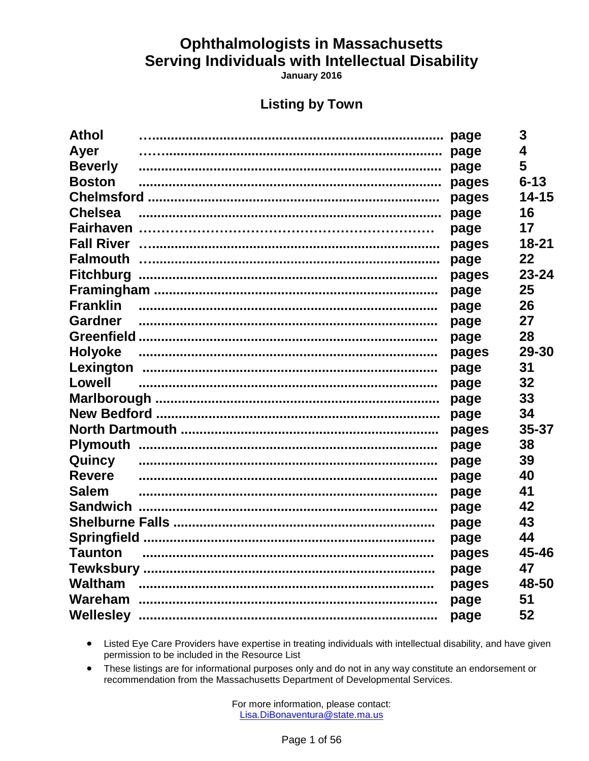January 2016

### **Listing by Town**

| <b>Athol</b>     |       | 3         |
|------------------|-------|-----------|
| Ayer             |       | 4         |
| <b>Beverly</b>   |       | 5         |
| <b>Boston</b>    | pages | $6 - 13$  |
|                  | pages | $14 - 15$ |
| <b>Chelsea</b>   | page  | 16        |
|                  | page  | 17        |
|                  |       | $18 - 21$ |
|                  | page  | 22        |
| <b>Fitchburg</b> | pages | $23 - 24$ |
|                  | page  | 25        |
| <b>Franklin</b>  | page  | 26        |
| Gardner          | page  | 27        |
|                  | page  | 28        |
| <b>Holyoke</b>   | pages | 29-30     |
|                  | page  | 31        |
| Lowell           | page  | 32        |
|                  | page  | 33        |
|                  | page  | 34        |
|                  | pages | 35-37     |
|                  | page  | 38        |
| Quincy           | page  | 39        |
| <b>Revere</b>    | page  | 40        |
| <b>Salem</b>     | page  | 41        |
|                  | page  | 42        |
|                  | page  | 43        |
|                  | page  | 44        |
| <b>Taunton</b>   | pages | 45-46     |
|                  | page  | 47        |
| <b>Waltham</b>   | pages | 48-50     |
|                  | page  | 51        |
|                  | page  | 52        |

• Listed Eye Care Providers have expertise in treating individuals with intellectual disability, and have given permission to be included in the Resource List

These listings are for informational purposes only and do not in any way constitute an endorsement or  $\bullet$ recommendation from the Massachusetts Department of Developmental Services.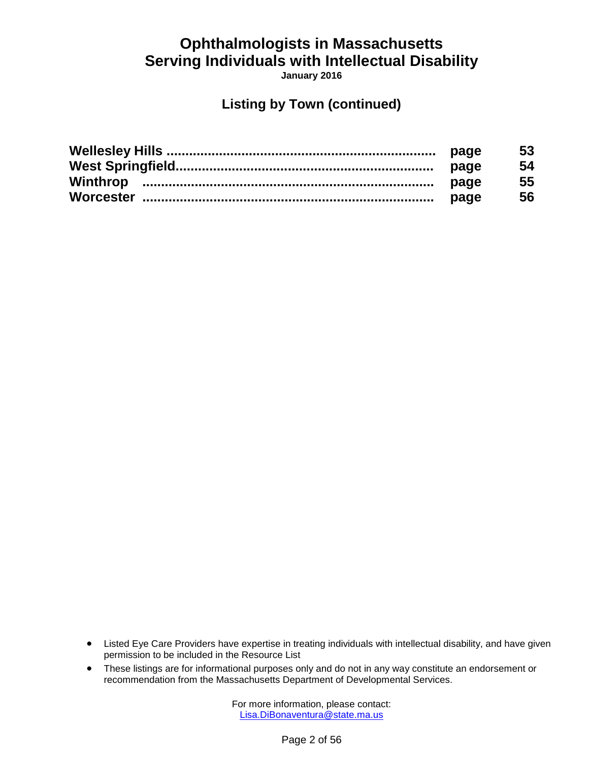**January 2016**

### **Listing by Town (continued)**

| page | 53 |
|------|----|
| page | 54 |
| page | 55 |
| page | 56 |

- Listed Eye Care Providers have expertise in treating individuals with intellectual disability, and have given permission to be included in the Resource List
- These listings are for informational purposes only and do not in any way constitute an endorsement or recommendation from the Massachusetts Department of Developmental Services.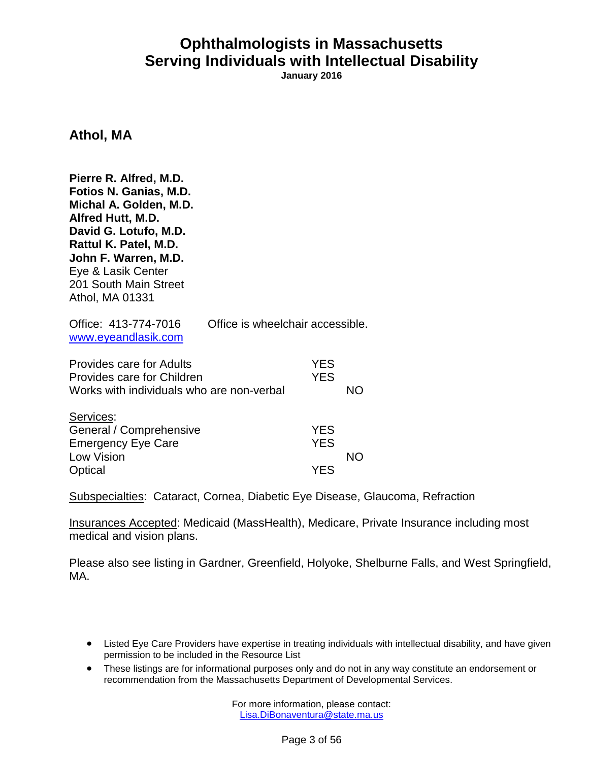**January 2016**

**Athol, MA**

| Pierre R. Alfred, M.D.<br>Fotios N. Ganias, M.D.<br>Michal A. Golden, M.D.<br>Alfred Hutt, M.D.<br>David G. Lotufo, M.D.<br>Rattul K. Patel, M.D.<br>John F. Warren, M.D.<br>Eye & Lasik Center<br>201 South Main Street<br>Athol, MA 01331 |                                  |                                        |           |
|---------------------------------------------------------------------------------------------------------------------------------------------------------------------------------------------------------------------------------------------|----------------------------------|----------------------------------------|-----------|
| Office: 413-774-7016<br>www.eyeandlasik.com                                                                                                                                                                                                 | Office is wheelchair accessible. |                                        |           |
| <b>Provides care for Adults</b><br>Provides care for Children<br>Works with individuals who are non-verbal                                                                                                                                  |                                  | <b>YES</b><br><b>YES</b>               | NO        |
| Services:<br>General / Comprehensive<br><b>Emergency Eye Care</b><br>Low Vision<br>Optical                                                                                                                                                  |                                  | <b>YES</b><br><b>YES</b><br><b>YES</b> | <b>NO</b> |

Subspecialties: Cataract, Cornea, Diabetic Eye Disease, Glaucoma, Refraction

Insurances Accepted: Medicaid (MassHealth), Medicare, Private Insurance including most medical and vision plans.

Please also see listing in Gardner, Greenfield, Holyoke, Shelburne Falls, and West Springfield, MA.

- Listed Eye Care Providers have expertise in treating individuals with intellectual disability, and have given permission to be included in the Resource List
- These listings are for informational purposes only and do not in any way constitute an endorsement or recommendation from the Massachusetts Department of Developmental Services.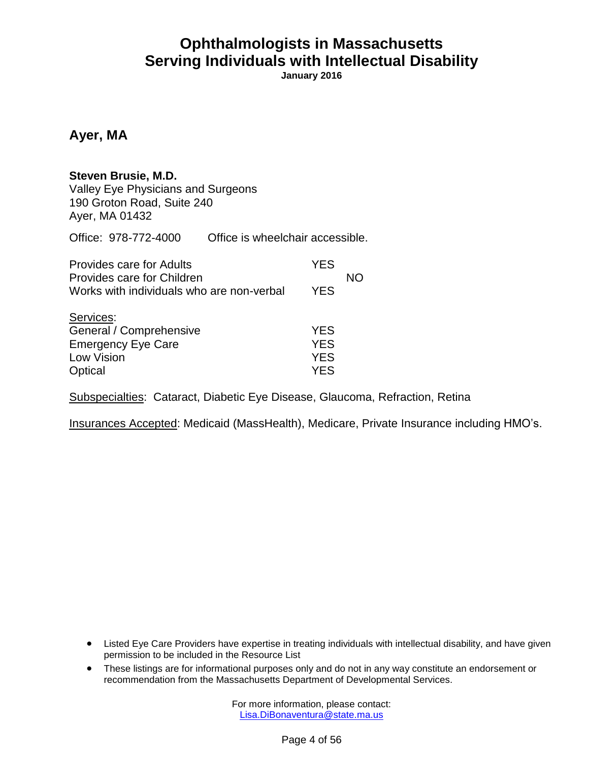**January 2016**

#### **Ayer, MA**

#### **Steven Brusie, M.D.**

Valley Eye Physicians and Surgeons 190 Groton Road, Suite 240 Ayer, MA 01432

Office: 978-772-4000 Office is wheelchair accessible.

| <b>Provides care for Adults</b><br>Provides care for Children                              | <b>YES</b>                                           | NΟ |
|--------------------------------------------------------------------------------------------|------------------------------------------------------|----|
| Works with individuals who are non-verbal                                                  | <b>YES</b>                                           |    |
| Services:<br>General / Comprehensive<br><b>Emergency Eye Care</b><br>Low Vision<br>Optical | <b>YES</b><br><b>YES</b><br><b>YES</b><br><b>YFS</b> |    |

Subspecialties: Cataract, Diabetic Eye Disease, Glaucoma, Refraction, Retina

Insurances Accepted: Medicaid (MassHealth), Medicare, Private Insurance including HMO's.

- Listed Eye Care Providers have expertise in treating individuals with intellectual disability, and have given permission to be included in the Resource List
- These listings are for informational purposes only and do not in any way constitute an endorsement or recommendation from the Massachusetts Department of Developmental Services.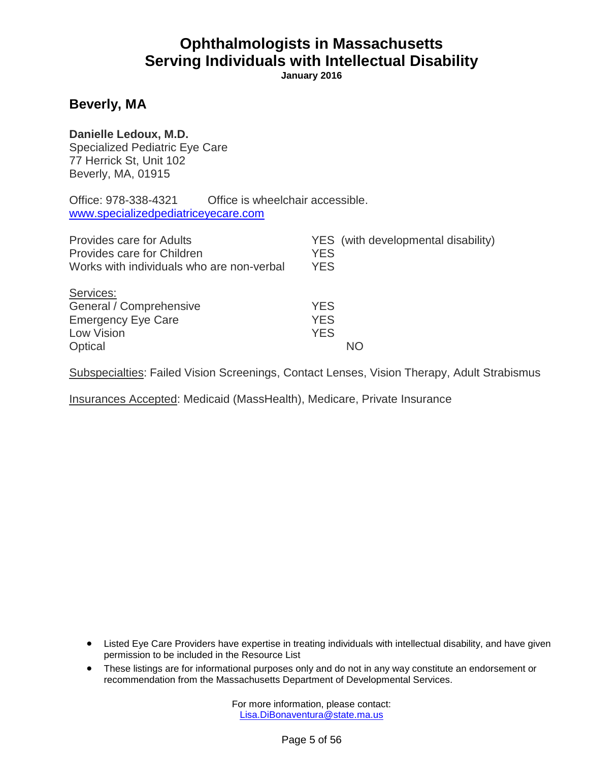**January 2016**

#### **Beverly, MA**

#### **Danielle Ledoux, M.D.**

Specialized Pediatric Eye Care 77 Herrick St, Unit 102 Beverly, MA, 01915

Office: 978-338-4321 Office is wheelchair accessible. <www.specializedpediatriceyecare.com>

| <b>Provides care for Adults</b><br>Provides care for Children<br>Works with individuals who are non-verbal | <b>YES</b><br><b>YES</b>               | YES (with developmental disability) |
|------------------------------------------------------------------------------------------------------------|----------------------------------------|-------------------------------------|
| Services:<br>General / Comprehensive<br><b>Emergency Eye Care</b><br>Low Vision<br>Optical                 | <b>YES</b><br><b>YES</b><br><b>YES</b> | NO.                                 |

Subspecialties: Failed Vision Screenings, Contact Lenses, Vision Therapy, Adult Strabismus

Insurances Accepted: Medicaid (MassHealth), Medicare, Private Insurance

- Listed Eye Care Providers have expertise in treating individuals with intellectual disability, and have given permission to be included in the Resource List
- These listings are for informational purposes only and do not in any way constitute an endorsement or recommendation from the Massachusetts Department of Developmental Services.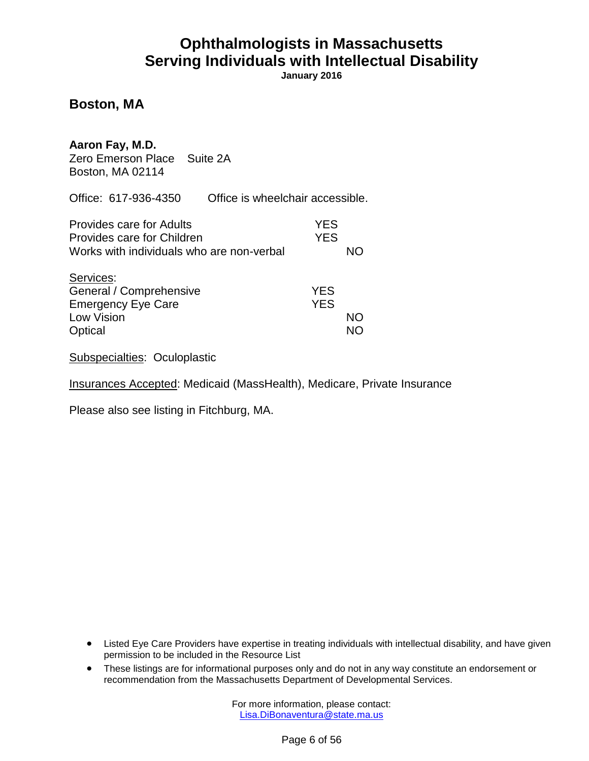**January 2016**

#### **Boston, MA**

#### **Aaron Fay, M.D.**

Zero Emerson Place Suite 2A Boston, MA 02114

Office: 617-936-4350 Office is wheelchair accessible.

| Provides care for Adults<br>Provides care for Children | YES<br><b>YES</b> |     |
|--------------------------------------------------------|-------------------|-----|
|                                                        |                   | NO. |
| Works with individuals who are non-verbal              |                   |     |
| Services:                                              |                   |     |
| General / Comprehensive                                | <b>YES</b>        |     |
| <b>Emergency Eye Care</b>                              | <b>YES</b>        |     |
| Low Vision                                             |                   | NΟ  |
| Optical                                                |                   |     |

Subspecialties: Oculoplastic

Insurances Accepted: Medicaid (MassHealth), Medicare, Private Insurance

Please also see listing in Fitchburg, MA.

- Listed Eye Care Providers have expertise in treating individuals with intellectual disability, and have given permission to be included in the Resource List
- These listings are for informational purposes only and do not in any way constitute an endorsement or recommendation from the Massachusetts Department of Developmental Services.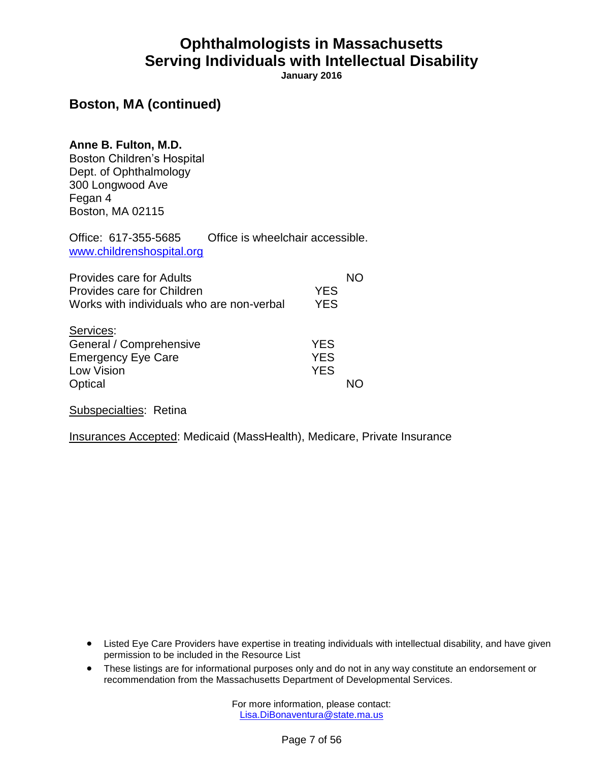**January 2016**

### **Boston, MA (continued)**

#### **Anne B. Fulton, M.D.**

Boston Children's Hospital Dept. of Ophthalmology 300 Longwood Ave Fegan 4 Boston, MA 02115

Office: 617-355-5685 Office is wheelchair accessible. [www.childrenshospital.org](http://www.childrenshospital.org/)

| Provides care for Adults<br>Provides care for Children<br>Works with individuals who are non-verbal | <b>YES</b><br><b>YES</b>               |  |
|-----------------------------------------------------------------------------------------------------|----------------------------------------|--|
| Services:<br>General / Comprehensive<br><b>Emergency Eye Care</b><br>Low Vision<br>Optical          | <b>YES</b><br><b>YES</b><br><b>YES</b> |  |

Subspecialties: Retina

Insurances Accepted: Medicaid (MassHealth), Medicare, Private Insurance

- Listed Eye Care Providers have expertise in treating individuals with intellectual disability, and have given permission to be included in the Resource List
- These listings are for informational purposes only and do not in any way constitute an endorsement or recommendation from the Massachusetts Department of Developmental Services.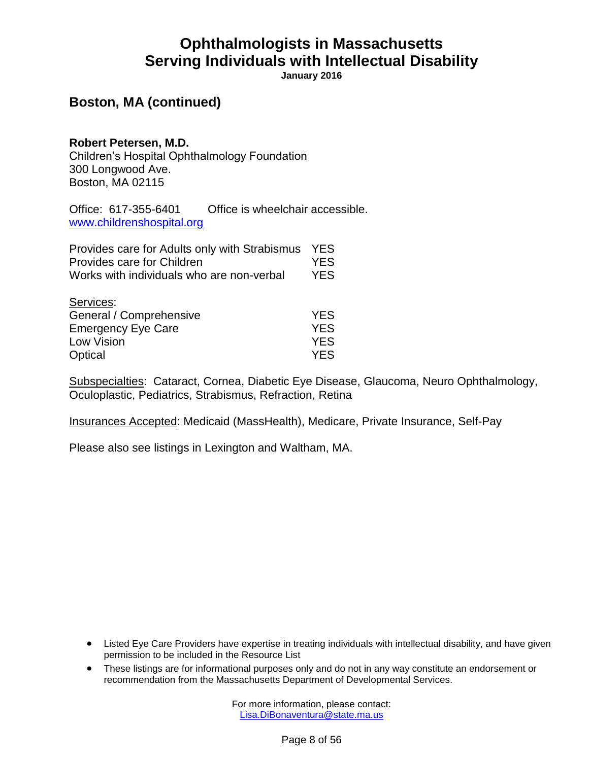**January 2016**

### **Boston, MA (continued)**

#### **Robert Petersen, M.D.**

Children's Hospital Ophthalmology Foundation 300 Longwood Ave. Boston, MA 02115

Office: 617-355-6401 Office is wheelchair accessible. [www.childrenshospital.org](http://www.childrenshospital.org/)

| Provides care for Adults only with Strabismus<br>Provides care for Children | <b>YES</b><br><b>YES</b> |
|-----------------------------------------------------------------------------|--------------------------|
| Works with individuals who are non-verbal                                   | <b>YES</b>               |
| Services:<br>General / Comprehensive                                        | <b>YES</b>               |
| <b>Emergency Eye Care</b>                                                   | <b>YES</b>               |
| <b>Low Vision</b>                                                           | <b>YES</b>               |
| Optical                                                                     | YES                      |

Subspecialties: Cataract, Cornea, Diabetic Eye Disease, Glaucoma, Neuro Ophthalmology, Oculoplastic, Pediatrics, Strabismus, Refraction, Retina

Insurances Accepted: Medicaid (MassHealth), Medicare, Private Insurance, Self-Pay

Please also see listings in Lexington and Waltham, MA.

- Listed Eye Care Providers have expertise in treating individuals with intellectual disability, and have given permission to be included in the Resource List
- These listings are for informational purposes only and do not in any way constitute an endorsement or recommendation from the Massachusetts Department of Developmental Services.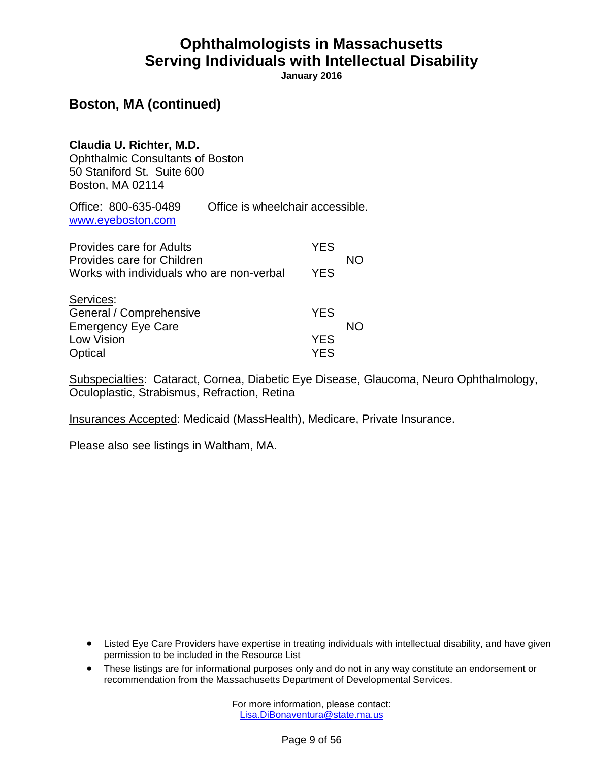**January 2016**

### **Boston, MA (continued)**

**Claudia U. Richter, M.D.** Ophthalmic Consultants of Boston 50 Staniford St. Suite 600 Boston, MA 02114

Office: 800-635-0489 Office is wheelchair accessible. [www.eyeboston.com](http://www.eyeboston.com/)

| <b>Provides care for Adults</b>                                         | <b>YES</b> |    |
|-------------------------------------------------------------------------|------------|----|
| Provides care for Children<br>Works with individuals who are non-verbal | <b>YES</b> | NΟ |
|                                                                         |            |    |
| Services:<br>General / Comprehensive                                    | <b>YES</b> |    |
| <b>Emergency Eye Care</b>                                               |            | NΟ |
| Low Vision                                                              | <b>YES</b> |    |
| Optical                                                                 | YFS        |    |

Subspecialties: Cataract, Cornea, Diabetic Eye Disease, Glaucoma, Neuro Ophthalmology, Oculoplastic, Strabismus, Refraction, Retina

Insurances Accepted: Medicaid (MassHealth), Medicare, Private Insurance.

Please also see listings in Waltham, MA.

- Listed Eye Care Providers have expertise in treating individuals with intellectual disability, and have given permission to be included in the Resource List
- These listings are for informational purposes only and do not in any way constitute an endorsement or recommendation from the Massachusetts Department of Developmental Services.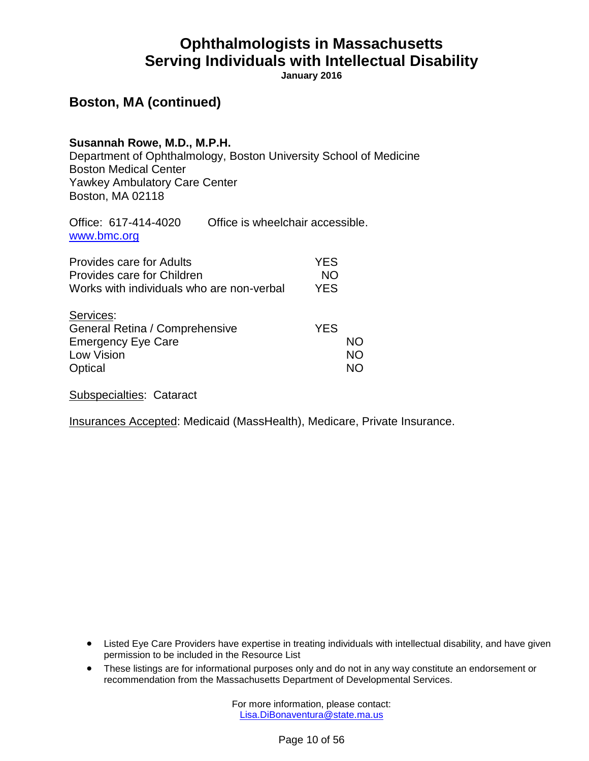**January 2016**

### **Boston, MA (continued)**

#### **Susannah Rowe, M.D., M.P.H.**

Department of Ophthalmology, Boston University School of Medicine Boston Medical Center Yawkey Ambulatory Care Center Boston, MA 02118

Office: 617-414-4020 Office is wheelchair accessible. [www.bmc.org](http://www.bmc.org/)

| Provides care for Adults<br>Provides care for Children<br>Works with individuals who are non-verbal | YES<br><b>NO</b><br><b>YES</b> |                       |
|-----------------------------------------------------------------------------------------------------|--------------------------------|-----------------------|
| Services:<br>General Retina / Comprehensive<br><b>Emergency Eye Care</b><br>Low Vision<br>Optical   | <b>YES</b>                     | NΟ<br><b>NO</b><br>NN |

Subspecialties: Cataract

Insurances Accepted: Medicaid (MassHealth), Medicare, Private Insurance.

- Listed Eye Care Providers have expertise in treating individuals with intellectual disability, and have given permission to be included in the Resource List
- These listings are for informational purposes only and do not in any way constitute an endorsement or recommendation from the Massachusetts Department of Developmental Services.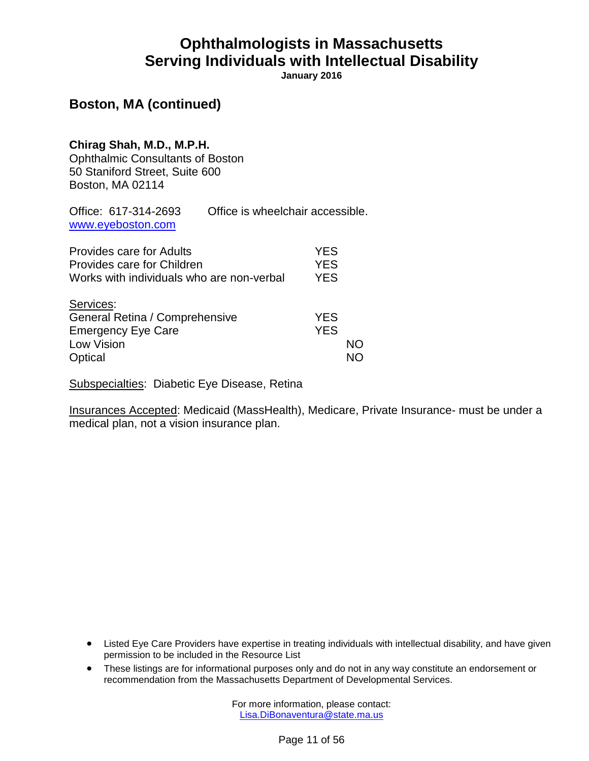**January 2016**

### **Boston, MA (continued)**

#### **Chirag Shah, M.D., M.P.H.** Ophthalmic Consultants of Boston 50 Staniford Street, Suite 600 Boston, MA 02114

| Office: 617-314-2693 | Office is wheelchair accessible. |
|----------------------|----------------------------------|
| www.eyeboston.com    |                                  |

| <b>Provides care for Adults</b>           | <b>YES</b> |    |
|-------------------------------------------|------------|----|
| Provides care for Children                | <b>YES</b> |    |
| Works with individuals who are non-verbal | <b>YES</b> |    |
| Services:                                 |            |    |
| General Retina / Comprehensive            | <b>YES</b> |    |
| <b>Emergency Eye Care</b>                 | <b>YES</b> |    |
| Low Vision                                |            | NΟ |
| Optical                                   |            |    |

Subspecialties: Diabetic Eye Disease, Retina

Insurances Accepted: Medicaid (MassHealth), Medicare, Private Insurance- must be under a medical plan, not a vision insurance plan.

- Listed Eye Care Providers have expertise in treating individuals with intellectual disability, and have given permission to be included in the Resource List
- These listings are for informational purposes only and do not in any way constitute an endorsement or recommendation from the Massachusetts Department of Developmental Services.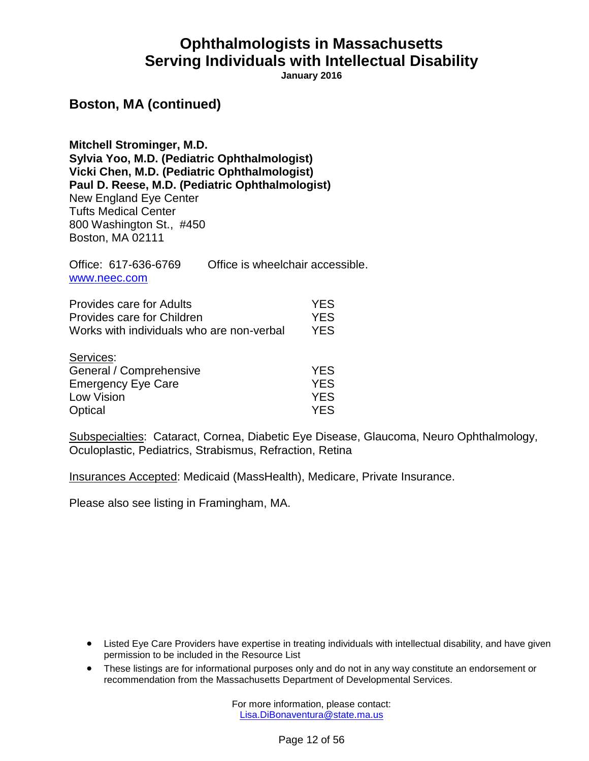**January 2016**

#### **Boston, MA (continued)**

**Mitchell Strominger, M.D. Sylvia Yoo, M.D. (Pediatric Ophthalmologist) Vicki Chen, M.D. (Pediatric Ophthalmologist) Paul D. Reese, M.D. (Pediatric Ophthalmologist)** New England Eye Center Tufts Medical Center 800 Washington St., #450 Boston, MA 02111

Office: 617-636-6769 Office is wheelchair accessible. [www.neec.com](http://www.neec.com/)

| <b>Provides care for Adults</b>           | <b>YES</b> |
|-------------------------------------------|------------|
| Provides care for Children                | <b>YES</b> |
| Works with individuals who are non-verbal | YES.       |
| Services:                                 |            |
| General / Comprehensive                   | <b>YES</b> |
| <b>Emergency Eye Care</b>                 | <b>YES</b> |
| Low Vision                                | YFS.       |

Optical YES

Subspecialties: Cataract, Cornea, Diabetic Eye Disease, Glaucoma, Neuro Ophthalmology, Oculoplastic, Pediatrics, Strabismus, Refraction, Retina

Insurances Accepted: Medicaid (MassHealth), Medicare, Private Insurance.

Please also see listing in Framingham, MA.

- Listed Eye Care Providers have expertise in treating individuals with intellectual disability, and have given permission to be included in the Resource List
- These listings are for informational purposes only and do not in any way constitute an endorsement or recommendation from the Massachusetts Department of Developmental Services.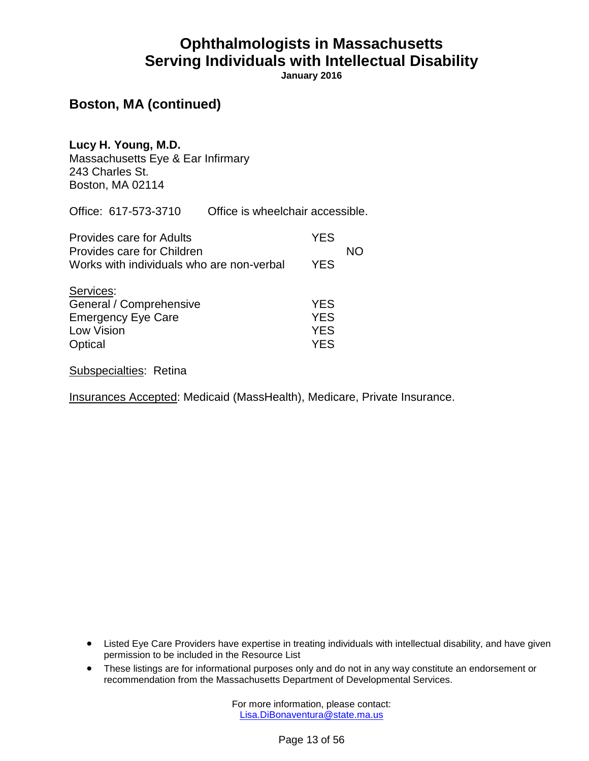**January 2016**

### **Boston, MA (continued)**

**Lucy H. Young, M.D.** Massachusetts Eye & Ear Infirmary 243 Charles St. Boston, MA 02114

Office: 617-573-3710 Office is wheelchair accessible.

| <b>Provides care for Adults</b>                                                                   | <b>YES</b>                                           | NΟ |
|---------------------------------------------------------------------------------------------------|------------------------------------------------------|----|
| Provides care for Children<br>Works with individuals who are non-verbal                           | <b>YES</b>                                           |    |
| Services:<br>General / Comprehensive<br><b>Emergency Eye Care</b><br><b>Low Vision</b><br>Optical | <b>YES</b><br><b>YES</b><br><b>YES</b><br><b>YFS</b> |    |

Subspecialties: Retina

Insurances Accepted: Medicaid (MassHealth), Medicare, Private Insurance.

- Listed Eye Care Providers have expertise in treating individuals with intellectual disability, and have given permission to be included in the Resource List
- These listings are for informational purposes only and do not in any way constitute an endorsement or recommendation from the Massachusetts Department of Developmental Services.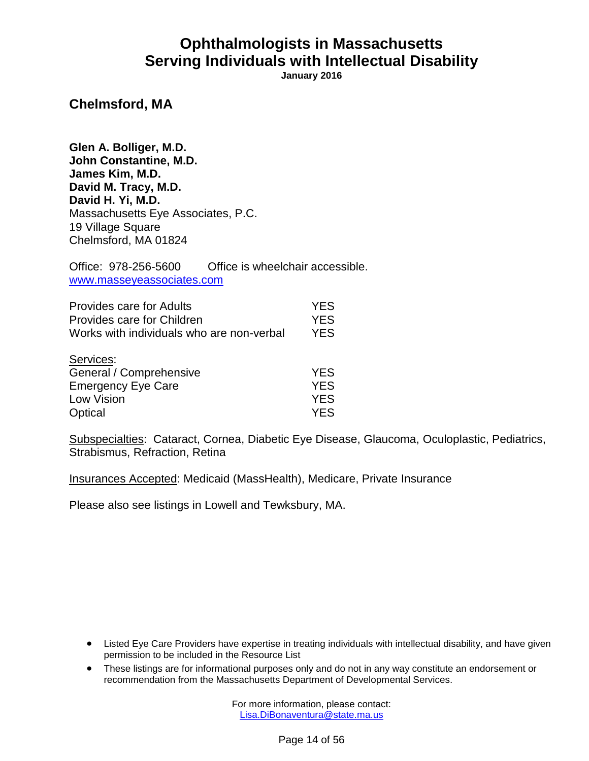**January 2016**

**Chelmsford, MA**

**Glen A. Bolliger, M.D. John Constantine, M.D. James Kim, M.D. David M. Tracy, M.D. David H. Yi, M.D.** Massachusetts Eye Associates, P.C. 19 Village Square Chelmsford, MA 01824

Office: 978-256-5600 Office is wheelchair accessible. [www.masseyeassociates.com](http://www.masseyeassociates.com/)

| <b>Provides care for Adults</b>           | <b>YES</b> |
|-------------------------------------------|------------|
| Provides care for Children                | <b>YES</b> |
| Works with individuals who are non-verbal | <b>YES</b> |
| Services:                                 |            |
| General / Comprehensive                   | <b>YES</b> |
| <b>Emergency Eye Care</b>                 | <b>YES</b> |
| Low Vision                                | <b>YES</b> |
| Optical                                   | YES        |

Subspecialties: Cataract, Cornea, Diabetic Eye Disease, Glaucoma, Oculoplastic, Pediatrics, Strabismus, Refraction, Retina

Insurances Accepted: Medicaid (MassHealth), Medicare, Private Insurance

Please also see listings in Lowell and Tewksbury, MA.

- Listed Eye Care Providers have expertise in treating individuals with intellectual disability, and have given permission to be included in the Resource List
- These listings are for informational purposes only and do not in any way constitute an endorsement or recommendation from the Massachusetts Department of Developmental Services.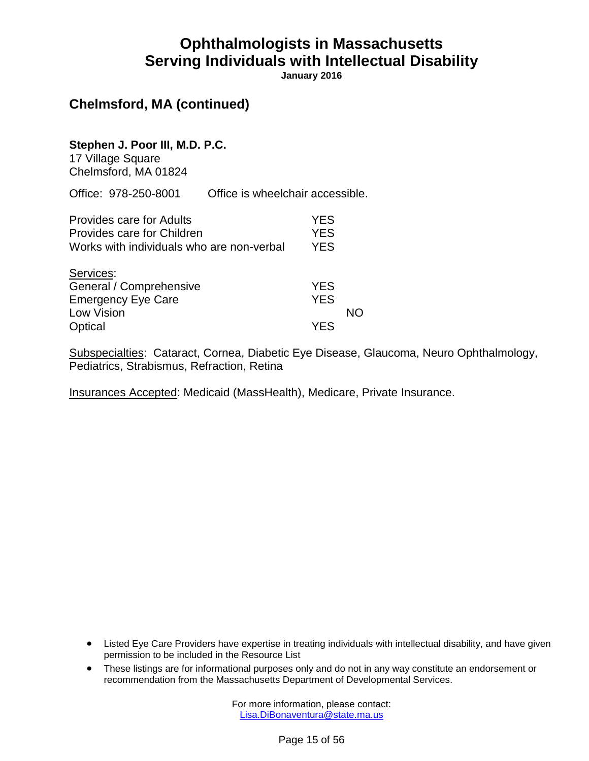**January 2016**

### **Chelmsford, MA (continued)**

**Stephen J. Poor III, M.D. P.C.**

17 Village Square Chelmsford, MA 01824

Office: 978-250-8001 Office is wheelchair accessible.

| <b>Provides care for Adults</b>           | YES        |    |
|-------------------------------------------|------------|----|
| Provides care for Children                | <b>YES</b> |    |
| Works with individuals who are non-verbal | <b>YES</b> |    |
| Services:                                 |            |    |
| General / Comprehensive                   | <b>YES</b> |    |
| <b>Emergency Eye Care</b>                 | <b>YES</b> |    |
| Low Vision                                |            | NN |
| Optical                                   | <b>YFS</b> |    |

Subspecialties: Cataract, Cornea, Diabetic Eye Disease, Glaucoma, Neuro Ophthalmology, Pediatrics, Strabismus, Refraction, Retina

Insurances Accepted: Medicaid (MassHealth), Medicare, Private Insurance.

- Listed Eye Care Providers have expertise in treating individuals with intellectual disability, and have given permission to be included in the Resource List
- These listings are for informational purposes only and do not in any way constitute an endorsement or recommendation from the Massachusetts Department of Developmental Services.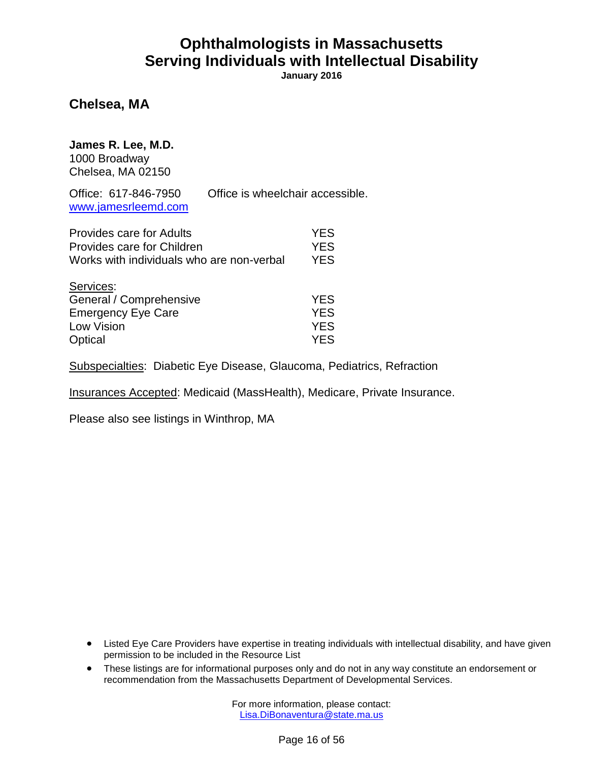**January 2016**

**Chelsea, MA**

**James R. Lee, M.D.** 1000 Broadway Chelsea, MA 02150

Office: 617-846-7950 Office is wheelchair accessible. [www.jamesrleemd.com](http://www.jamesrleemd.com/)

| Provides care for Adults                  | <b>YES</b> |
|-------------------------------------------|------------|
| Provides care for Children                | <b>YES</b> |
| Works with individuals who are non-verbal | <b>YES</b> |
| Services:                                 |            |
| General / Comprehensive                   | <b>YES</b> |
| <b>Emergency Eye Care</b>                 | <b>YES</b> |
| Low Vision                                | <b>YES</b> |
| Optical                                   | YES.       |

Subspecialties: Diabetic Eye Disease, Glaucoma, Pediatrics, Refraction

Insurances Accepted: Medicaid (MassHealth), Medicare, Private Insurance.

Please also see listings in Winthrop, MA

- Listed Eye Care Providers have expertise in treating individuals with intellectual disability, and have given permission to be included in the Resource List
- These listings are for informational purposes only and do not in any way constitute an endorsement or recommendation from the Massachusetts Department of Developmental Services.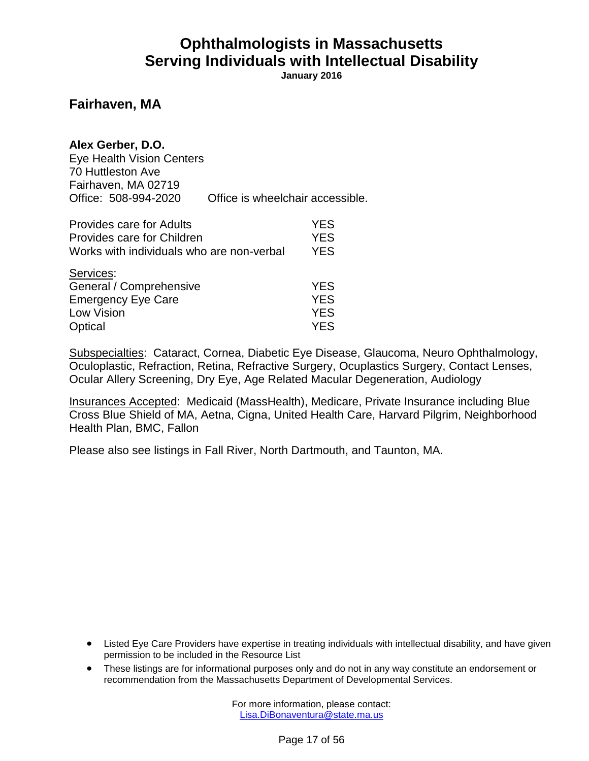**January 2016**

#### **Fairhaven, MA**

#### **Alex Gerber, D.O.**

Eye Health Vision Centers 70 Huttleston Ave Fairhaven, MA 02719 Office: 508-994-2020 Office is wheelchair accessible.

| <b>Provides care for Adults</b>           | <b>YES</b> |
|-------------------------------------------|------------|
| Provides care for Children                | <b>YES</b> |
| Works with individuals who are non-verbal | <b>YES</b> |
| Services:                                 |            |
| General / Comprehensive                   | <b>YES</b> |
| <b>Emergency Eye Care</b>                 | <b>YES</b> |
| Low Vision                                | <b>YES</b> |
| Optical                                   | <b>YES</b> |

Subspecialties: Cataract, Cornea, Diabetic Eye Disease, Glaucoma, Neuro Ophthalmology, Oculoplastic, Refraction, Retina, Refractive Surgery, Ocuplastics Surgery, Contact Lenses, Ocular Allery Screening, Dry Eye, Age Related Macular Degeneration, Audiology

Insurances Accepted: Medicaid (MassHealth), Medicare, Private Insurance including Blue Cross Blue Shield of MA, Aetna, Cigna, United Health Care, Harvard Pilgrim, Neighborhood Health Plan, BMC, Fallon

Please also see listings in Fall River, North Dartmouth, and Taunton, MA.

- Listed Eye Care Providers have expertise in treating individuals with intellectual disability, and have given permission to be included in the Resource List
- These listings are for informational purposes only and do not in any way constitute an endorsement or recommendation from the Massachusetts Department of Developmental Services.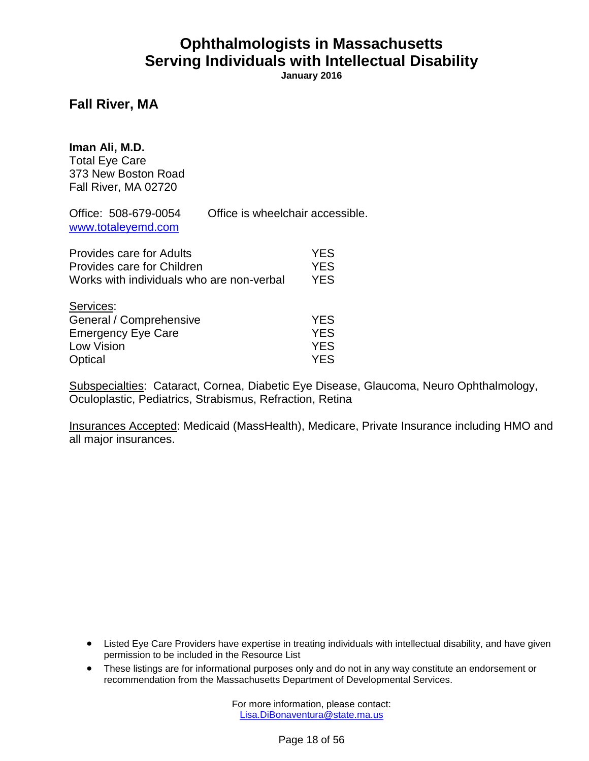**January 2016**

#### **Fall River, MA**

| Office is wheelchair accessible.          |                                                      |
|-------------------------------------------|------------------------------------------------------|
| Works with individuals who are non-verbal | <b>YES</b><br><b>YES</b><br><b>YES</b>               |
|                                           | <b>YES</b><br><b>YES</b><br><b>YES</b><br><b>YES</b> |
|                                           |                                                      |

Subspecialties: Cataract, Cornea, Diabetic Eye Disease, Glaucoma, Neuro Ophthalmology, Oculoplastic, Pediatrics, Strabismus, Refraction, Retina

Insurances Accepted: Medicaid (MassHealth), Medicare, Private Insurance including HMO and all major insurances.

- Listed Eye Care Providers have expertise in treating individuals with intellectual disability, and have given permission to be included in the Resource List
- These listings are for informational purposes only and do not in any way constitute an endorsement or recommendation from the Massachusetts Department of Developmental Services.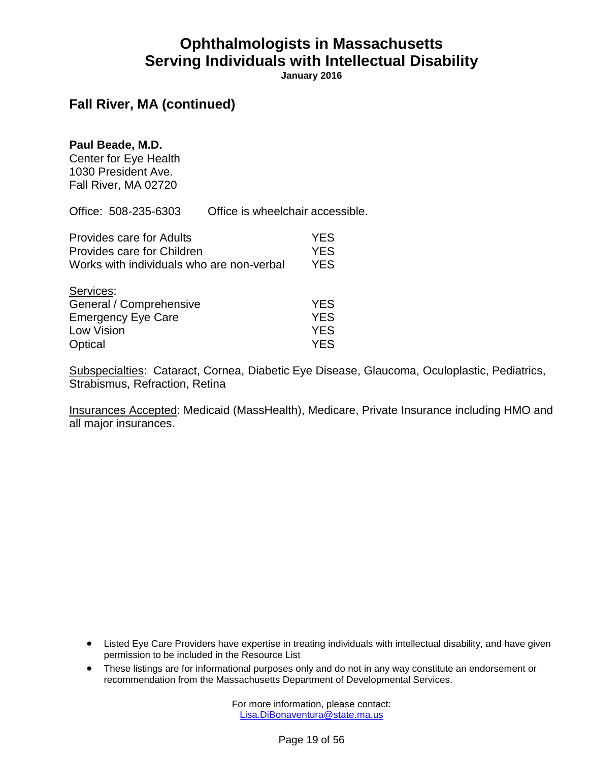**January 2016**

### **Fall River, MA (continued)**

#### **Paul Beade, M.D.**

Center for Eye Health 1030 President Ave. Fall River, MA 02720

Office: 508-235-6303 Office is wheelchair accessible.

| <b>Provides care for Adults</b>           | <b>YES</b> |
|-------------------------------------------|------------|
| Provides care for Children                | <b>YES</b> |
| Works with individuals who are non-verbal | <b>YES</b> |
| Services:                                 |            |
| General / Comprehensive                   | <b>YES</b> |
|                                           |            |
| <b>Emergency Eye Care</b>                 | <b>YES</b> |
| <b>Low Vision</b>                         | <b>YES</b> |
| Optical                                   | YES.       |

Subspecialties: Cataract, Cornea, Diabetic Eye Disease, Glaucoma, Oculoplastic, Pediatrics, Strabismus, Refraction, Retina

Insurances Accepted: Medicaid (MassHealth), Medicare, Private Insurance including HMO and all major insurances.

- Listed Eye Care Providers have expertise in treating individuals with intellectual disability, and have given permission to be included in the Resource List
- These listings are for informational purposes only and do not in any way constitute an endorsement or recommendation from the Massachusetts Department of Developmental Services.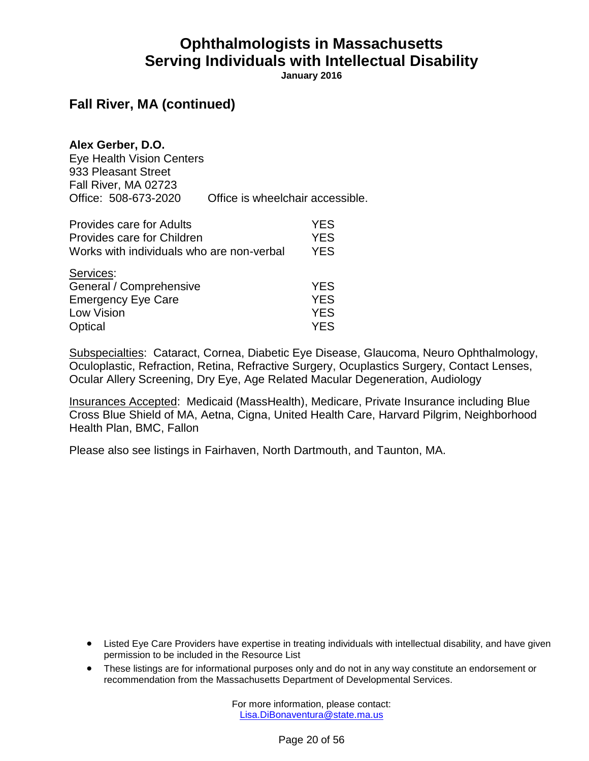**January 2016**

#### **Fall River, MA (continued)**

**Alex Gerber, D.O.**

Eye Health Vision Centers 933 Pleasant Street Fall River, MA 02723 Office: 508-673-2020 Office is wheelchair accessible.

| <b>Provides care for Adults</b>           | <b>YES</b> |
|-------------------------------------------|------------|
| Provides care for Children                | <b>YES</b> |
| Works with individuals who are non-verbal | <b>YES</b> |
| Services:                                 |            |
| General / Comprehensive                   | <b>YES</b> |
| <b>Emergency Eye Care</b>                 | <b>YES</b> |
| Low Vision                                | <b>YES</b> |
| Optical                                   | <b>YES</b> |

Subspecialties: Cataract, Cornea, Diabetic Eye Disease, Glaucoma, Neuro Ophthalmology, Oculoplastic, Refraction, Retina, Refractive Surgery, Ocuplastics Surgery, Contact Lenses, Ocular Allery Screening, Dry Eye, Age Related Macular Degeneration, Audiology

Insurances Accepted: Medicaid (MassHealth), Medicare, Private Insurance including Blue Cross Blue Shield of MA, Aetna, Cigna, United Health Care, Harvard Pilgrim, Neighborhood Health Plan, BMC, Fallon

Please also see listings in Fairhaven, North Dartmouth, and Taunton, MA.

- Listed Eye Care Providers have expertise in treating individuals with intellectual disability, and have given permission to be included in the Resource List
- These listings are for informational purposes only and do not in any way constitute an endorsement or recommendation from the Massachusetts Department of Developmental Services.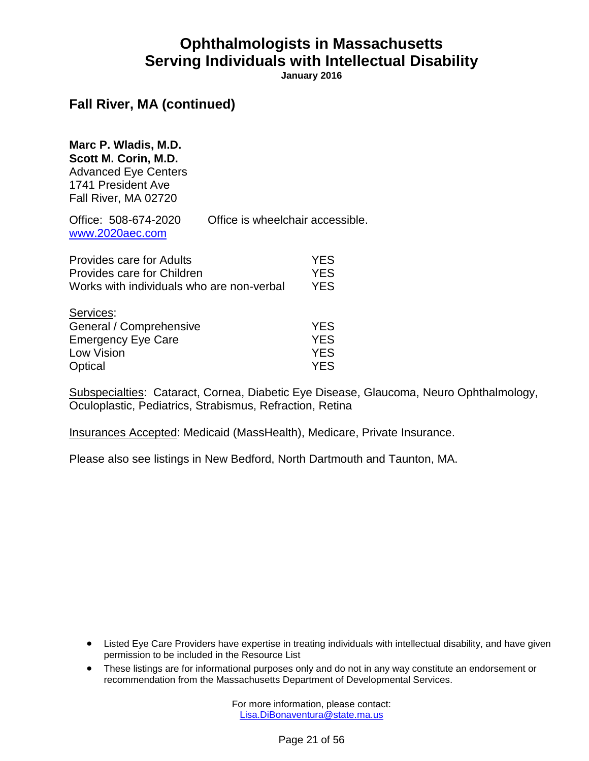**January 2016**

### **Fall River, MA (continued)**

**Marc P. Wladis, M.D. Scott M. Corin, M.D.** Advanced Eye Centers 1741 President Ave Fall River, MA 02720

Office: 508-674-2020 Office is wheelchair accessible. [www.2020aec.com](http://www.2020aec.com/)

| <b>Provides care for Adults</b>           | <b>YES</b> |
|-------------------------------------------|------------|
| Provides care for Children                | <b>YES</b> |
| Works with individuals who are non-verbal | <b>YES</b> |
| Services:                                 |            |
| General / Comprehensive                   | <b>YES</b> |
| <b>Emergency Eye Care</b>                 | <b>YES</b> |
| Low Vision                                | <b>YES</b> |
| Optical                                   | <b>YES</b> |

Subspecialties: Cataract, Cornea, Diabetic Eye Disease, Glaucoma, Neuro Ophthalmology, Oculoplastic, Pediatrics, Strabismus, Refraction, Retina

Insurances Accepted: Medicaid (MassHealth), Medicare, Private Insurance.

Please also see listings in New Bedford, North Dartmouth and Taunton, MA.

- Listed Eye Care Providers have expertise in treating individuals with intellectual disability, and have given permission to be included in the Resource List
- These listings are for informational purposes only and do not in any way constitute an endorsement or recommendation from the Massachusetts Department of Developmental Services.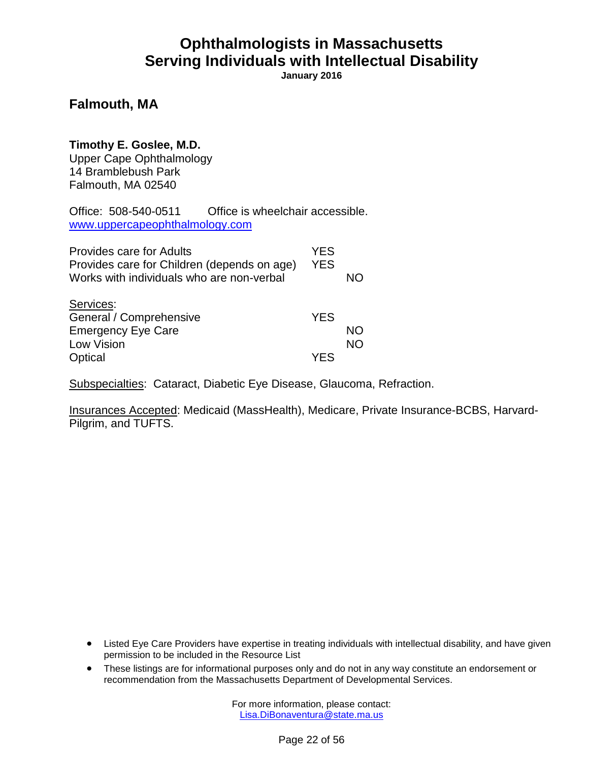**January 2016**

#### **Falmouth, MA**

### **Timothy E. Goslee, M.D.**

Upper Cape Ophthalmology 14 Bramblebush Park Falmouth, MA 02540

Office: 508-540-0511 Office is wheelchair accessible. [www.uppercapeophthalmology.com](http://www.uppercapeophthalmology.com/)

| <b>Provides care for Adults</b><br>Provides care for Children (depends on age)<br>Works with individuals who are non-verbal | <b>YES</b><br><b>YES</b> | NΩ              |
|-----------------------------------------------------------------------------------------------------------------------------|--------------------------|-----------------|
| Services:<br>General / Comprehensive<br><b>Emergency Eye Care</b><br><b>Low Vision</b>                                      | <b>YES</b>               | NΟ<br><b>NO</b> |
| Optical                                                                                                                     | YF.S                     |                 |

Subspecialties: Cataract, Diabetic Eye Disease, Glaucoma, Refraction.

Insurances Accepted: Medicaid (MassHealth), Medicare, Private Insurance-BCBS, Harvard-Pilgrim, and TUFTS.

- Listed Eye Care Providers have expertise in treating individuals with intellectual disability, and have given permission to be included in the Resource List
- These listings are for informational purposes only and do not in any way constitute an endorsement or recommendation from the Massachusetts Department of Developmental Services.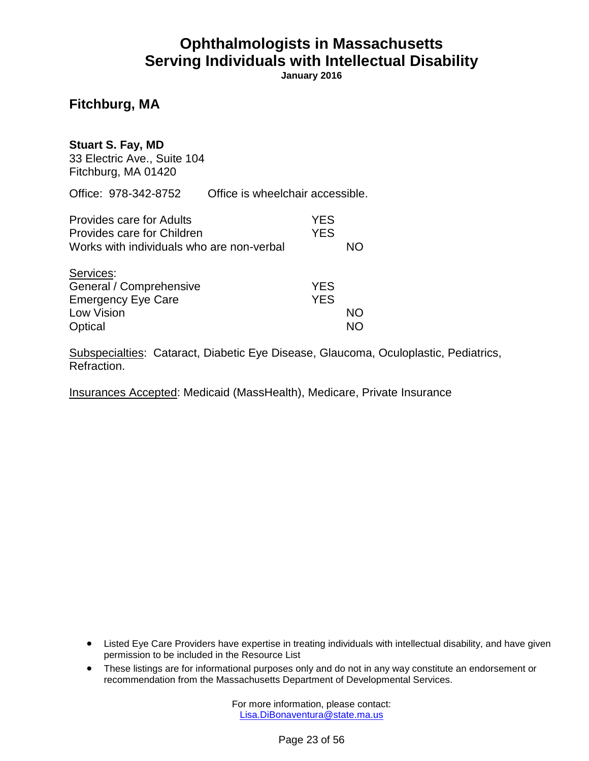**January 2016**

### **Fitchburg, MA**

#### **Stuart S. Fay, MD**

33 Electric Ave., Suite 104 Fitchburg, MA 01420

Office: 978-342-8752 Office is wheelchair accessible.

| <b>Provides care for Adults</b>           | YES        |    |
|-------------------------------------------|------------|----|
| Provides care for Children                | <b>YES</b> |    |
| Works with individuals who are non-verbal |            | NΟ |
| Services:                                 |            |    |
| General / Comprehensive                   | <b>YES</b> |    |
| <b>Emergency Eye Care</b>                 | <b>YES</b> |    |
| Low Vision                                |            | NΟ |
| Optical                                   |            |    |

Subspecialties: Cataract, Diabetic Eye Disease, Glaucoma, Oculoplastic, Pediatrics, Refraction.

Insurances Accepted: Medicaid (MassHealth), Medicare, Private Insurance

- Listed Eye Care Providers have expertise in treating individuals with intellectual disability, and have given permission to be included in the Resource List
- These listings are for informational purposes only and do not in any way constitute an endorsement or recommendation from the Massachusetts Department of Developmental Services.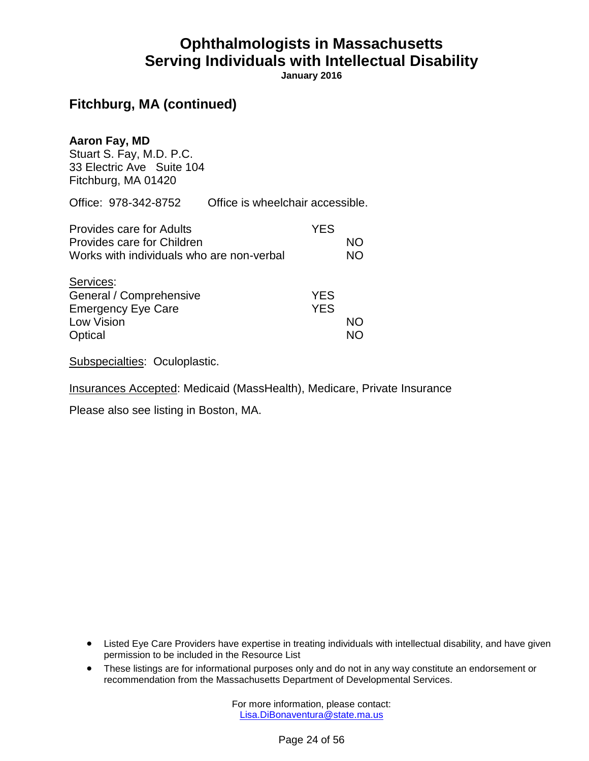**January 2016**

### **Fitchburg, MA (continued)**

#### **Aaron Fay, MD**

Stuart S. Fay, M.D. P.C. 33 Electric Ave Suite 104 Fitchburg, MA 01420

Office: 978-342-8752 Office is wheelchair accessible.

| <b>Provides care for Adults</b>           | <b>YES</b> |           |
|-------------------------------------------|------------|-----------|
| Provides care for Children                |            | NΟ        |
| Works with individuals who are non-verbal |            | <b>NO</b> |
| Services:                                 |            |           |
| General / Comprehensive                   | <b>YES</b> |           |
| <b>Emergency Eye Care</b>                 | <b>YES</b> |           |
| Low Vision                                |            | <b>NO</b> |
| Optical                                   |            |           |

Subspecialties: Oculoplastic.

Insurances Accepted: Medicaid (MassHealth), Medicare, Private Insurance

Please also see listing in Boston, MA.

- Listed Eye Care Providers have expertise in treating individuals with intellectual disability, and have given permission to be included in the Resource List
- These listings are for informational purposes only and do not in any way constitute an endorsement or recommendation from the Massachusetts Department of Developmental Services.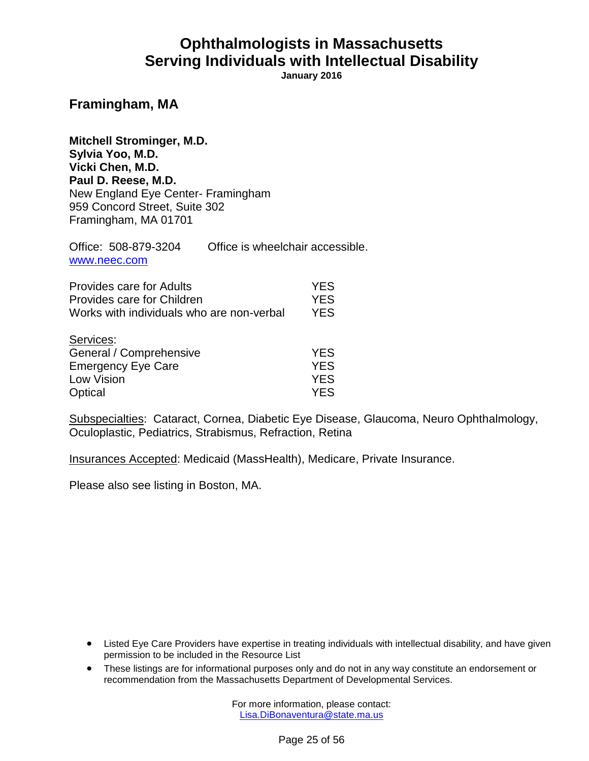**January 2016**

#### **Framingham, MA**

**Mitchell Strominger, M.D. Sylvia Yoo, M.D. Vicki Chen, M.D. Paul D. Reese, M.D.** New England Eye Center- Framingham 959 Concord Street, Suite 302 Framingham, MA 01701

Office: 508-879-3204 Office is wheelchair accessible. [www.neec.com](http://www.neec.com/)

| <b>Provides care for Adults</b><br>Provides care for Children<br>Works with individuals who are non-verbal | <b>YES</b><br><b>YES</b><br><b>YES</b> |
|------------------------------------------------------------------------------------------------------------|----------------------------------------|
| Services:                                                                                                  |                                        |
| General / Comprehensive                                                                                    | <b>YES</b>                             |
| <b>Emergency Eye Care</b>                                                                                  | <b>YES</b>                             |
| Low Vision                                                                                                 | <b>YES</b>                             |
| Optical                                                                                                    | YES.                                   |

Subspecialties: Cataract, Cornea, Diabetic Eye Disease, Glaucoma, Neuro Ophthalmology, Oculoplastic, Pediatrics, Strabismus, Refraction, Retina

Insurances Accepted: Medicaid (MassHealth), Medicare, Private Insurance.

Please also see listing in Boston, MA.

- Listed Eye Care Providers have expertise in treating individuals with intellectual disability, and have given permission to be included in the Resource List
- These listings are for informational purposes only and do not in any way constitute an endorsement or recommendation from the Massachusetts Department of Developmental Services.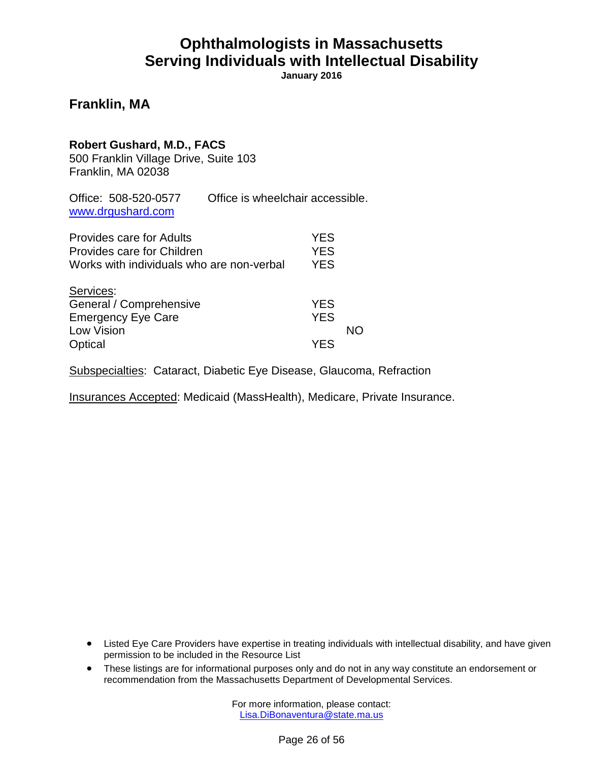**January 2016**

#### **Franklin, MA**

| Robert Gushard, M.D., FACS<br>500 Franklin Village Drive, Suite 103<br>Franklin, MA 02038           |                                  |                                 |    |
|-----------------------------------------------------------------------------------------------------|----------------------------------|---------------------------------|----|
| Office: 508-520-0577<br>www.drgushard.com                                                           | Office is wheelchair accessible. |                                 |    |
| Provides care for Adults<br>Provides care for Children<br>Works with individuals who are non-verbal |                                  | YFS<br><b>YES</b><br><b>YES</b> |    |
| Services:<br>General / Comprehensive<br><b>Emergency Eye Care</b><br>Low Vision<br>Optical          |                                  | <b>YES</b><br><b>YES</b><br>YFS | NΟ |
|                                                                                                     |                                  |                                 |    |

Subspecialties: Cataract, Diabetic Eye Disease, Glaucoma, Refraction

Insurances Accepted: Medicaid (MassHealth), Medicare, Private Insurance.

- Listed Eye Care Providers have expertise in treating individuals with intellectual disability, and have given permission to be included in the Resource List
- These listings are for informational purposes only and do not in any way constitute an endorsement or recommendation from the Massachusetts Department of Developmental Services.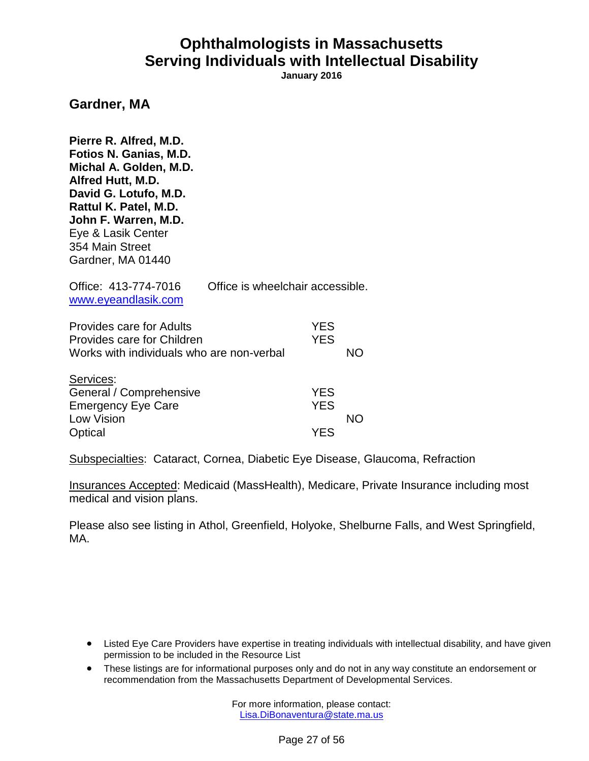**January 2016**

#### **Gardner, MA**

**Pierre R. Alfred, M.D. Fotios N. Ganias, M.D. Michal A. Golden, M.D. Alfred Hutt, M.D. David G. Lotufo, M.D. Rattul K. Patel, M.D. John F. Warren, M.D.** Eye & Lasik Center 354 Main Street Gardner, MA 01440 Office: 413-774-7016 Office is wheelchair accessible. [www.eyeandlasik.com](http://www.eyeandlasik.com/) Provides care for Adults **YES** Provides care for Children The Manuscript Children WES Works with individuals who are non-verbal NO Services: General / Comprehensive **YES** Emergency Eye Care The Manuscript Control of the YES Low Vision NO Optical YES

Subspecialties: Cataract, Cornea, Diabetic Eye Disease, Glaucoma, Refraction

Insurances Accepted: Medicaid (MassHealth), Medicare, Private Insurance including most medical and vision plans.

Please also see listing in Athol, Greenfield, Holyoke, Shelburne Falls, and West Springfield, MA.

- Listed Eye Care Providers have expertise in treating individuals with intellectual disability, and have given permission to be included in the Resource List
- These listings are for informational purposes only and do not in any way constitute an endorsement or recommendation from the Massachusetts Department of Developmental Services.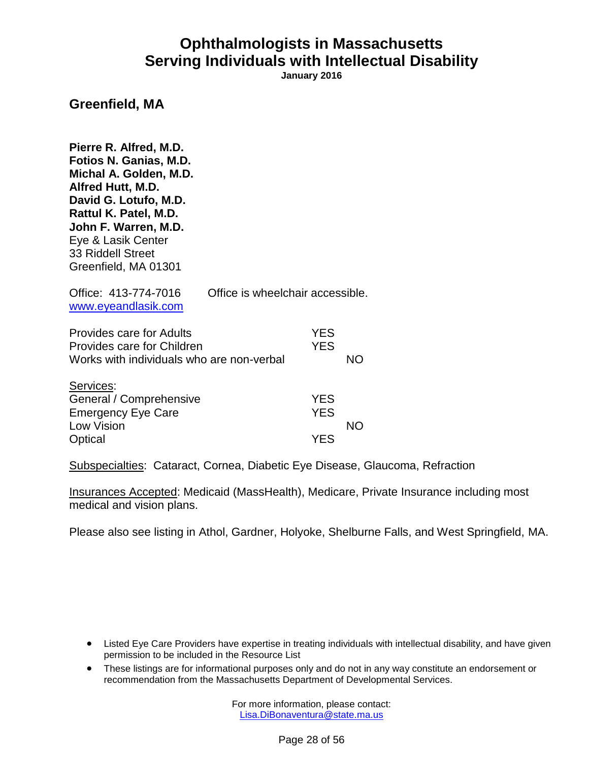**January 2016**

#### **Greenfield, MA**

**Pierre R. Alfred, M.D. Fotios N. Ganias, M.D. Michal A. Golden, M.D. Alfred Hutt, M.D. David G. Lotufo, M.D. Rattul K. Patel, M.D. John F. Warren, M.D.** Eye & Lasik Center 33 Riddell Street Greenfield, MA 01301 Office: 413-774-7016 Office is wheelchair accessible. [www.eyeandlasik.com](http://www.eyeandlasik.com/) Provides care for Adults **YES** Provides care for Children The Manuscript Children WES Works with individuals who are non-verbal NO Services: General / Comprehensive The Manus YES Emergency Eye Care The Manuscript Control of the YES Low Vision NO Optical YES

Subspecialties: Cataract, Cornea, Diabetic Eye Disease, Glaucoma, Refraction

Insurances Accepted: Medicaid (MassHealth), Medicare, Private Insurance including most medical and vision plans.

Please also see listing in Athol, Gardner, Holyoke, Shelburne Falls, and West Springfield, MA.

- Listed Eye Care Providers have expertise in treating individuals with intellectual disability, and have given permission to be included in the Resource List
- These listings are for informational purposes only and do not in any way constitute an endorsement or recommendation from the Massachusetts Department of Developmental Services.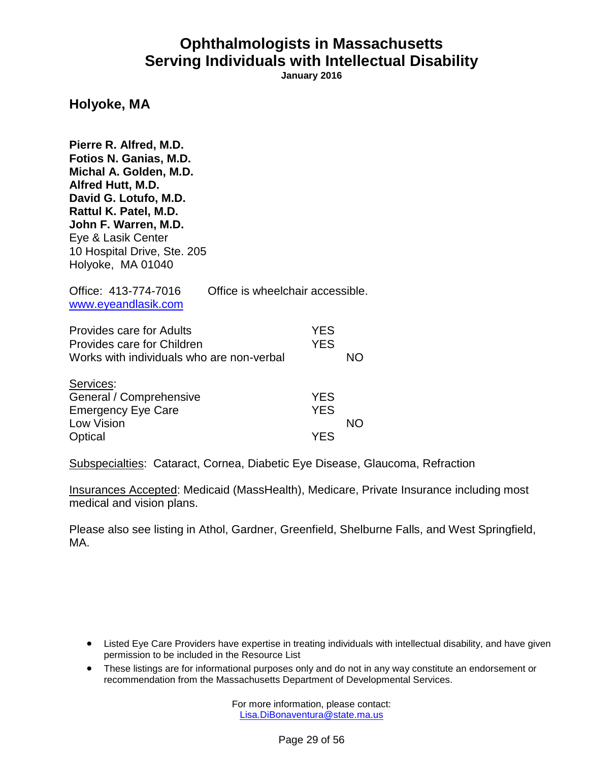**January 2016**

#### **Holyoke, MA**

**Pierre R. Alfred, M.D. Fotios N. Ganias, M.D. Michal A. Golden, M.D. Alfred Hutt, M.D. David G. Lotufo, M.D. Rattul K. Patel, M.D. John F. Warren, M.D.** Eye & Lasik Center 10 Hospital Drive, Ste. 205 Holyoke, MA 01040

| Office: 413-774-7016<br>www.eyeandlasik.com                                                                | Office is wheelchair accessible. |    |
|------------------------------------------------------------------------------------------------------------|----------------------------------|----|
| <b>Provides care for Adults</b><br>Provides care for Children<br>Works with individuals who are non-verbal | <b>YES</b><br><b>YES</b>         | NΟ |
| Services:<br>General / Comprehensive<br><b>Emergency Eye Care</b><br>Low Vision                            | <b>YES</b><br><b>YES</b>         | NΩ |
| Optical                                                                                                    | YFS                              |    |

Subspecialties: Cataract, Cornea, Diabetic Eye Disease, Glaucoma, Refraction

Insurances Accepted: Medicaid (MassHealth), Medicare, Private Insurance including most medical and vision plans.

Please also see listing in Athol, Gardner, Greenfield, Shelburne Falls, and West Springfield, MA.

- Listed Eye Care Providers have expertise in treating individuals with intellectual disability, and have given permission to be included in the Resource List
- These listings are for informational purposes only and do not in any way constitute an endorsement or recommendation from the Massachusetts Department of Developmental Services.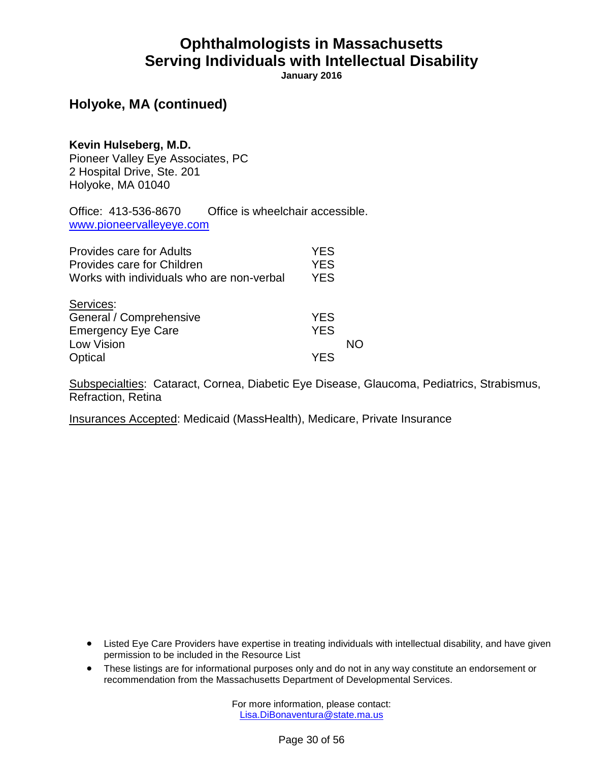**January 2016**

### **Holyoke, MA (continued)**

**Kevin Hulseberg, M.D.** Pioneer Valley Eye Associates, PC 2 Hospital Drive, Ste. 201 Holyoke, MA 01040

Office: 413-536-8670 Office is wheelchair accessible. [www.pioneervalleyeye.com](http://www.pioneervalleyeye.com/)

| Provides care for Adults                  | <b>YES</b> |    |
|-------------------------------------------|------------|----|
| Provides care for Children                | <b>YES</b> |    |
| Works with individuals who are non-verbal | <b>YES</b> |    |
| Services:                                 |            |    |
| General / Comprehensive                   | <b>YES</b> |    |
| <b>Emergency Eye Care</b>                 | <b>YES</b> |    |
| Low Vision                                |            | NN |
| Optical                                   | YES        |    |

Subspecialties: Cataract, Cornea, Diabetic Eye Disease, Glaucoma, Pediatrics, Strabismus, Refraction, Retina

Insurances Accepted: Medicaid (MassHealth), Medicare, Private Insurance

- Listed Eye Care Providers have expertise in treating individuals with intellectual disability, and have given permission to be included in the Resource List
- These listings are for informational purposes only and do not in any way constitute an endorsement or recommendation from the Massachusetts Department of Developmental Services.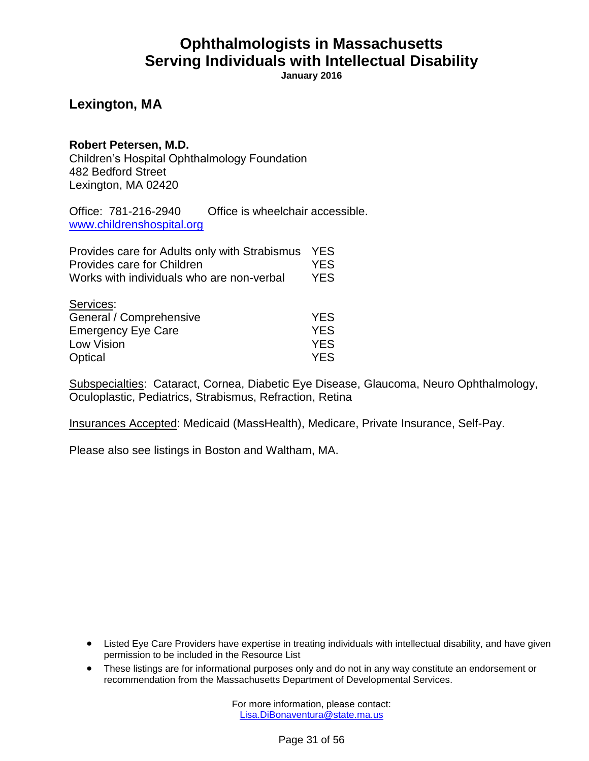**January 2016**

#### **Lexington, MA**

#### **Robert Petersen, M.D.**

Children's Hospital Ophthalmology Foundation 482 Bedford Street Lexington, MA 02420

Office: 781-216-2940 Office is wheelchair accessible. [www.childrenshospital.org](http://www.childrenshospital.org/)

| Provides care for Adults only with Strabismus | <b>YES</b> |
|-----------------------------------------------|------------|
| Provides care for Children                    | <b>YES</b> |
| Works with individuals who are non-verbal     | <b>YES</b> |
| Services:                                     |            |
| General / Comprehensive                       | <b>YES</b> |
| <b>Emergency Eye Care</b>                     | <b>YES</b> |
| Low Vision                                    | <b>YES</b> |
| Optical                                       | <b>YES</b> |

Subspecialties: Cataract, Cornea, Diabetic Eye Disease, Glaucoma, Neuro Ophthalmology, Oculoplastic, Pediatrics, Strabismus, Refraction, Retina

Insurances Accepted: Medicaid (MassHealth), Medicare, Private Insurance, Self-Pay.

Please also see listings in Boston and Waltham, MA.

- Listed Eye Care Providers have expertise in treating individuals with intellectual disability, and have given permission to be included in the Resource List
- These listings are for informational purposes only and do not in any way constitute an endorsement or recommendation from the Massachusetts Department of Developmental Services.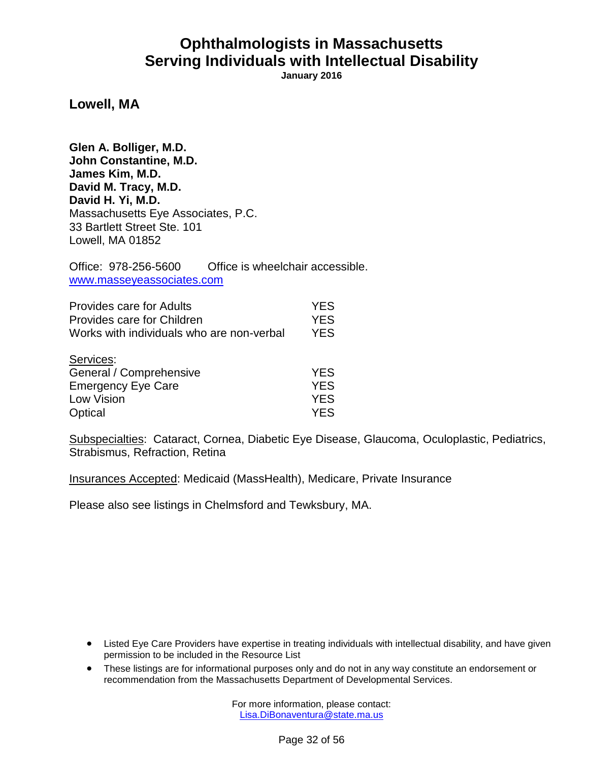**January 2016**

**Lowell, MA**

**Glen A. Bolliger, M.D. John Constantine, M.D. James Kim, M.D. David M. Tracy, M.D. David H. Yi, M.D.** Massachusetts Eye Associates, P.C. 33 Bartlett Street Ste. 101 Lowell, MA 01852

Office: 978-256-5600 Office is wheelchair accessible. [www.masseyeassociates.com](http://www.masseyeassociates.com/)

| <b>Provides care for Adults</b>           | <b>YES</b> |
|-------------------------------------------|------------|
| Provides care for Children                | <b>YES</b> |
| Works with individuals who are non-verbal | <b>YES</b> |
| Services:                                 |            |
| General / Comprehensive                   | <b>YES</b> |
| <b>Emergency Eye Care</b>                 | <b>YES</b> |
| Low Vision                                | <b>YES</b> |
| Optical                                   | YES        |

Subspecialties: Cataract, Cornea, Diabetic Eye Disease, Glaucoma, Oculoplastic, Pediatrics, Strabismus, Refraction, Retina

Insurances Accepted: Medicaid (MassHealth), Medicare, Private Insurance

Please also see listings in Chelmsford and Tewksbury, MA.

- Listed Eye Care Providers have expertise in treating individuals with intellectual disability, and have given permission to be included in the Resource List
- These listings are for informational purposes only and do not in any way constitute an endorsement or recommendation from the Massachusetts Department of Developmental Services.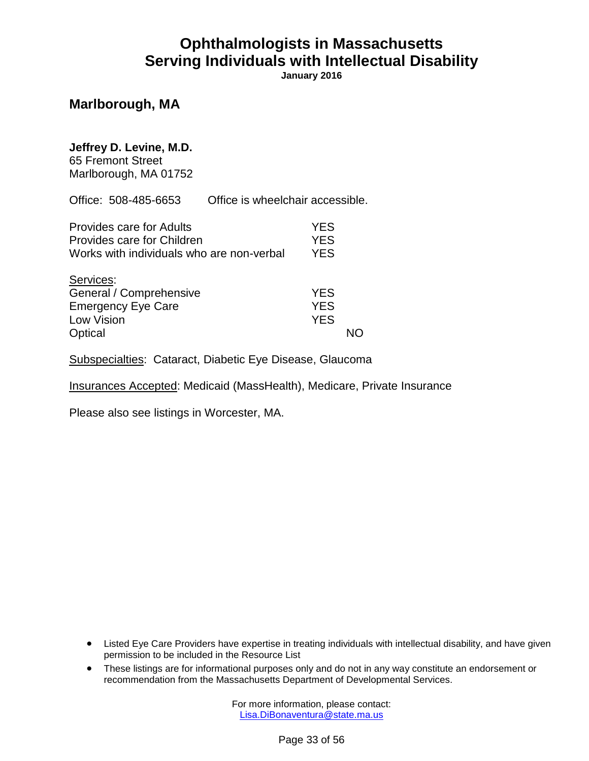**January 2016**

#### **Marlborough, MA**

#### **Jeffrey D. Levine, M.D.**

65 Fremont Street Marlborough, MA 01752

Office: 508-485-6653 Office is wheelchair accessible.

| <b>Provides care for Adults</b><br>Provides care for Children<br>Works with individuals who are non-verbal | <b>YES</b><br><b>YES</b><br><b>YES</b> |  |
|------------------------------------------------------------------------------------------------------------|----------------------------------------|--|
| Services:<br>General / Comprehensive<br><b>Emergency Eye Care</b><br>Low Vision<br>Optical                 | <b>YES</b><br><b>YES</b><br><b>YES</b> |  |

Subspecialties: Cataract, Diabetic Eye Disease, Glaucoma

Insurances Accepted: Medicaid (MassHealth), Medicare, Private Insurance

Please also see listings in Worcester, MA.

- Listed Eye Care Providers have expertise in treating individuals with intellectual disability, and have given permission to be included in the Resource List
- These listings are for informational purposes only and do not in any way constitute an endorsement or recommendation from the Massachusetts Department of Developmental Services.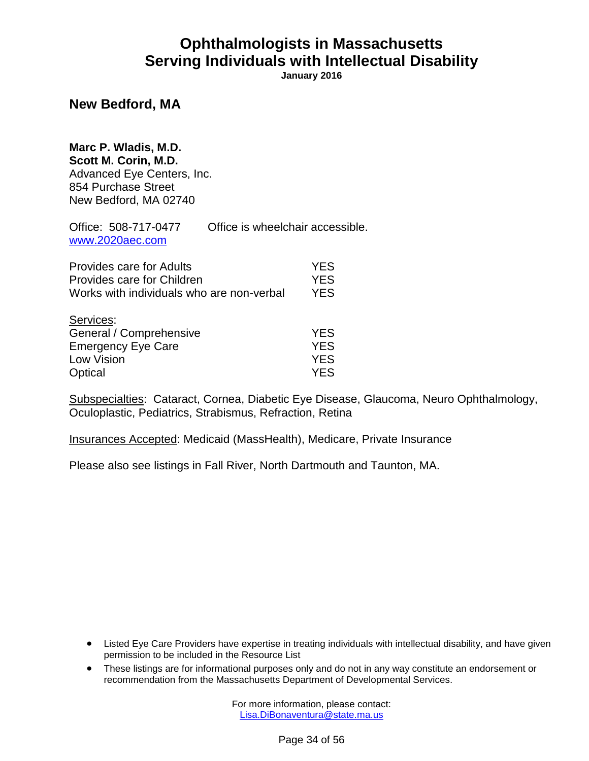**January 2016**

#### **New Bedford, MA**

**Marc P. Wladis, M.D. Scott M. Corin, M.D.** Advanced Eye Centers, Inc. 854 Purchase Street New Bedford, MA 02740

Office: 508-717-0477 Office is wheelchair accessible. [www.2020aec.com](http://www.2020aec.com/)

| Provides care for Adults<br>Provides care for Children<br>Works with individuals who are non-verbal | <b>YES</b><br><b>YES</b><br><b>YES</b> |
|-----------------------------------------------------------------------------------------------------|----------------------------------------|
| Services:                                                                                           | <b>YES</b>                             |
| General / Comprehensive<br><b>Emergency Eye Care</b>                                                | <b>YES</b>                             |
| Low Vision                                                                                          | <b>YES</b>                             |
| Optical                                                                                             | <b>YES</b>                             |

Subspecialties: Cataract, Cornea, Diabetic Eye Disease, Glaucoma, Neuro Ophthalmology, Oculoplastic, Pediatrics, Strabismus, Refraction, Retina

Insurances Accepted: Medicaid (MassHealth), Medicare, Private Insurance

Please also see listings in Fall River, North Dartmouth and Taunton, MA.

- Listed Eye Care Providers have expertise in treating individuals with intellectual disability, and have given permission to be included in the Resource List
- These listings are for informational purposes only and do not in any way constitute an endorsement or recommendation from the Massachusetts Department of Developmental Services.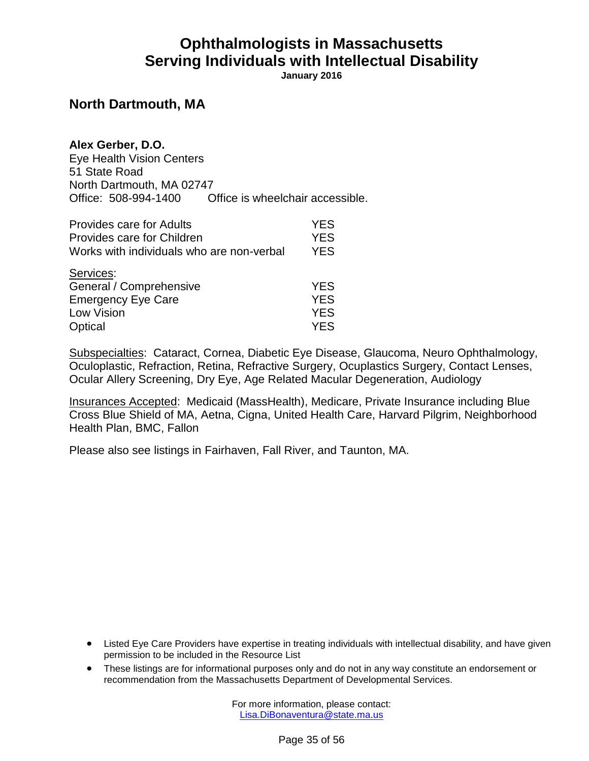**January 2016**

#### **North Dartmouth, MA**

| Alex Gerber, D.O.         |                                  |
|---------------------------|----------------------------------|
| Eye Health Vision Centers |                                  |
| 51 State Road             |                                  |
| North Dartmouth, MA 02747 |                                  |
| Office: 508-994-1400      | Office is wheelchair accessible. |

| <b>Provides care for Adults</b>           | <b>YES</b> |
|-------------------------------------------|------------|
| Provides care for Children                | <b>YES</b> |
| Works with individuals who are non-verbal | <b>YES</b> |
| Services:                                 |            |
| General / Comprehensive                   | <b>YES</b> |
| <b>Emergency Eye Care</b>                 | <b>YES</b> |
| Low Vision                                | <b>YES</b> |
| Optical                                   | <b>YES</b> |

Subspecialties: Cataract, Cornea, Diabetic Eye Disease, Glaucoma, Neuro Ophthalmology, Oculoplastic, Refraction, Retina, Refractive Surgery, Ocuplastics Surgery, Contact Lenses, Ocular Allery Screening, Dry Eye, Age Related Macular Degeneration, Audiology

Insurances Accepted: Medicaid (MassHealth), Medicare, Private Insurance including Blue Cross Blue Shield of MA, Aetna, Cigna, United Health Care, Harvard Pilgrim, Neighborhood Health Plan, BMC, Fallon

Please also see listings in Fairhaven, Fall River, and Taunton, MA.

- Listed Eye Care Providers have expertise in treating individuals with intellectual disability, and have given permission to be included in the Resource List
- These listings are for informational purposes only and do not in any way constitute an endorsement or recommendation from the Massachusetts Department of Developmental Services.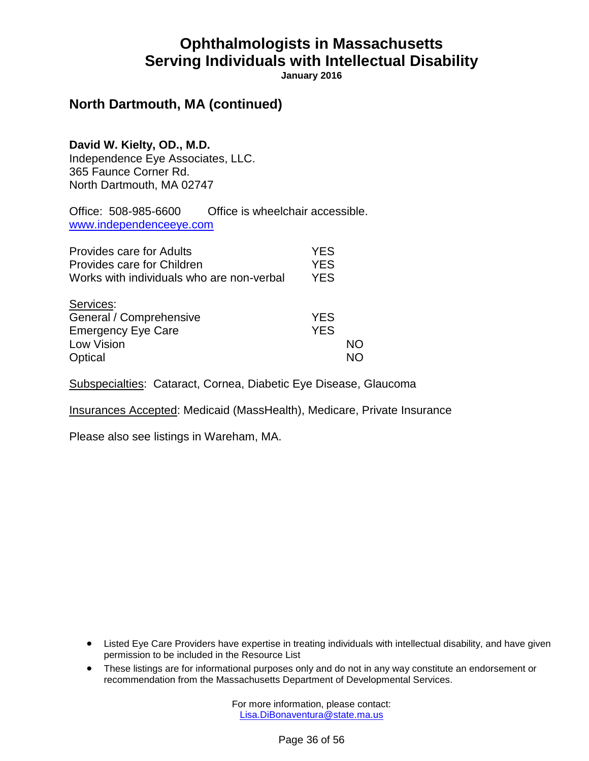**January 2016**

### **North Dartmouth, MA (continued)**

**David W. Kielty, OD., M.D.** Independence Eye Associates, LLC. 365 Faunce Corner Rd. North Dartmouth, MA 02747

Office: 508-985-6600 Office is wheelchair accessible. [www.independenceeye.com](http://www.independenceeye.com/)

| <b>Provides care for Adults</b><br>Provides care for Children<br>Works with individuals who are non-verbal | <b>YES</b><br><b>YES</b><br><b>YES</b> |    |
|------------------------------------------------------------------------------------------------------------|----------------------------------------|----|
| Services:<br>General / Comprehensive<br><b>Emergency Eye Care</b><br>Low Vision<br>Optical                 | <b>YES</b><br><b>YES</b>               | NΟ |

Subspecialties: Cataract, Cornea, Diabetic Eye Disease, Glaucoma

Insurances Accepted: Medicaid (MassHealth), Medicare, Private Insurance

Please also see listings in Wareham, MA.

- Listed Eye Care Providers have expertise in treating individuals with intellectual disability, and have given permission to be included in the Resource List
- These listings are for informational purposes only and do not in any way constitute an endorsement or recommendation from the Massachusetts Department of Developmental Services.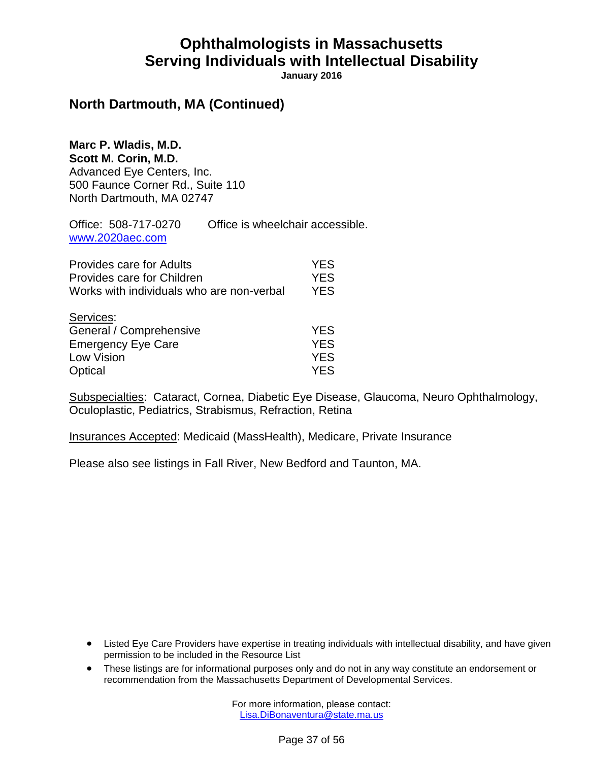**January 2016**

#### **North Dartmouth, MA (Continued)**

**Marc P. Wladis, M.D. Scott M. Corin, M.D.** Advanced Eye Centers, Inc. 500 Faunce Corner Rd., Suite 110 North Dartmouth, MA 02747

Office: 508-717-0270 Office is wheelchair accessible. [www.2020aec.com](http://www.2020aec.com/)

| <b>Provides care for Adults</b><br>Provides care for Children<br>Works with individuals who are non-verbal | <b>YES</b><br><b>YES</b><br><b>YES</b> |
|------------------------------------------------------------------------------------------------------------|----------------------------------------|
| Services:<br>General / Comprehensive                                                                       | <b>YES</b>                             |
| <b>Emergency Eye Care</b>                                                                                  | <b>YES</b>                             |
| Low Vision                                                                                                 | <b>YES</b>                             |
| Optical                                                                                                    | <b>YES</b>                             |

Subspecialties: Cataract, Cornea, Diabetic Eye Disease, Glaucoma, Neuro Ophthalmology, Oculoplastic, Pediatrics, Strabismus, Refraction, Retina

Insurances Accepted: Medicaid (MassHealth), Medicare, Private Insurance

Please also see listings in Fall River, New Bedford and Taunton, MA.

- Listed Eye Care Providers have expertise in treating individuals with intellectual disability, and have given permission to be included in the Resource List
- These listings are for informational purposes only and do not in any way constitute an endorsement or recommendation from the Massachusetts Department of Developmental Services.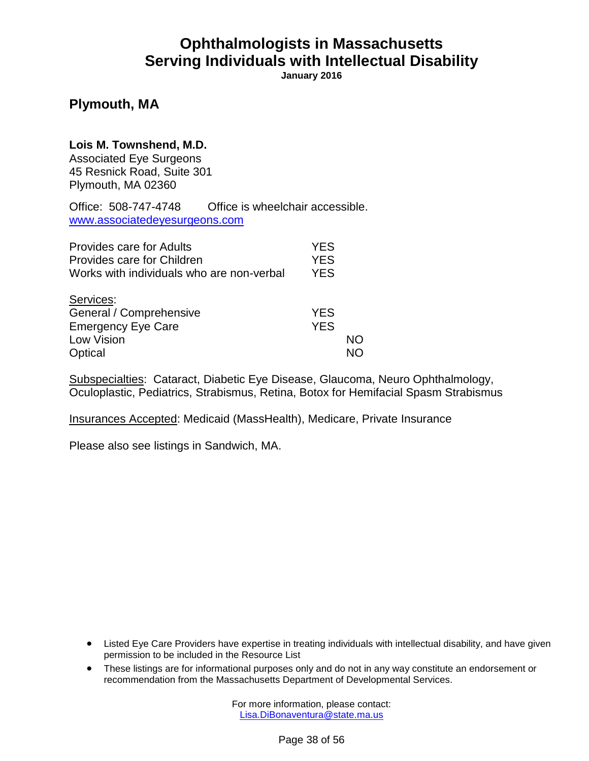**January 2016**

#### **Plymouth, MA**

#### **Lois M. Townshend, M.D.**

Associated Eye Surgeons 45 Resnick Road, Suite 301 Plymouth, MA 02360

Office: 508-747-4748 Office is wheelchair accessible. [www.associatedeyesurgeons.com](http://www.associatedeyesurgeons.com/)

| <b>Provides care for Adults</b>           | <b>YES</b> |    |
|-------------------------------------------|------------|----|
| Provides care for Children                | <b>YES</b> |    |
| Works with individuals who are non-verbal | <b>YES</b> |    |
| Services:                                 |            |    |
| General / Comprehensive                   | <b>YES</b> |    |
| <b>Emergency Eye Care</b>                 | <b>YES</b> |    |
| Low Vision                                |            | NO |
| Optical                                   |            |    |

Subspecialties: Cataract, Diabetic Eye Disease, Glaucoma, Neuro Ophthalmology, Oculoplastic, Pediatrics, Strabismus, Retina, Botox for Hemifacial Spasm Strabismus

Insurances Accepted: Medicaid (MassHealth), Medicare, Private Insurance

Please also see listings in Sandwich, MA.

- Listed Eye Care Providers have expertise in treating individuals with intellectual disability, and have given permission to be included in the Resource List
- These listings are for informational purposes only and do not in any way constitute an endorsement or recommendation from the Massachusetts Department of Developmental Services.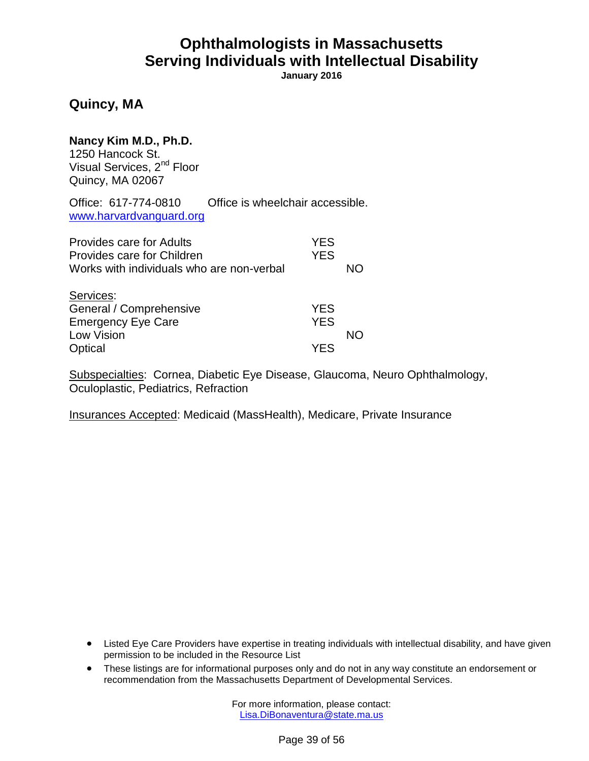**January 2016**

### **Quincy, MA**

**Nancy Kim M.D., Ph.D.** 1250 Hancock St.

Visual Services, 2<sup>nd</sup> Floor Quincy, MA 02067

Office: 617-774-0810 Office is wheelchair accessible. [www.harvardvanguard.org](http://www.harvardvanguard.org/)

| <b>Provides care for Adults</b><br>Provides care for Children<br>Works with individuals who are non-verbal | <b>YES</b><br><b>YES</b> | NΟ |
|------------------------------------------------------------------------------------------------------------|--------------------------|----|
| Services:<br>General / Comprehensive<br><b>Emergency Eye Care</b><br>Low Vision                            | <b>YES</b><br><b>YES</b> | NΟ |
| Optical                                                                                                    | YFS                      |    |

Subspecialties: Cornea, Diabetic Eye Disease, Glaucoma, Neuro Ophthalmology, Oculoplastic, Pediatrics, Refraction

Insurances Accepted: Medicaid (MassHealth), Medicare, Private Insurance

- Listed Eye Care Providers have expertise in treating individuals with intellectual disability, and have given permission to be included in the Resource List
- These listings are for informational purposes only and do not in any way constitute an endorsement or recommendation from the Massachusetts Department of Developmental Services.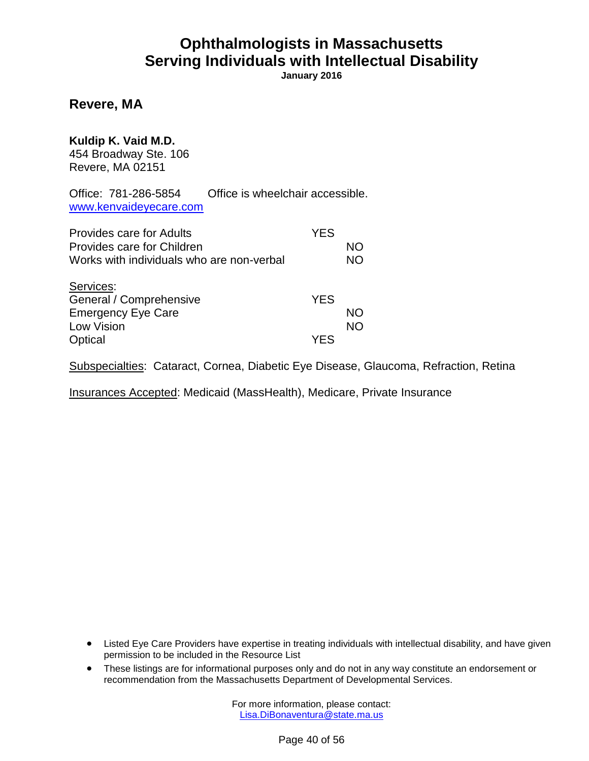**January 2016**

#### **Revere, MA**

#### **Kuldip K. Vaid M.D.**

454 Broadway Ste. 106 Revere, MA 02151

Office: 781-286-5854 Office is wheelchair accessible. [www.kenvaideyecare.com](http://www.kenvaideyecare.com/)

| <b>Provides care for Adults</b><br>Provides care for Children<br>Works with individuals who are non-verbal | <b>YES</b> | NΟ<br><b>NO</b> |
|------------------------------------------------------------------------------------------------------------|------------|-----------------|
| Services:<br>General / Comprehensive<br><b>Emergency Eye Care</b>                                          | <b>YES</b> | NΟ              |
| <b>Low Vision</b><br>Optical                                                                               | YFS        | <b>NO</b>       |

Subspecialties: Cataract, Cornea, Diabetic Eye Disease, Glaucoma, Refraction, Retina

Insurances Accepted: Medicaid (MassHealth), Medicare, Private Insurance

- Listed Eye Care Providers have expertise in treating individuals with intellectual disability, and have given permission to be included in the Resource List
- These listings are for informational purposes only and do not in any way constitute an endorsement or recommendation from the Massachusetts Department of Developmental Services.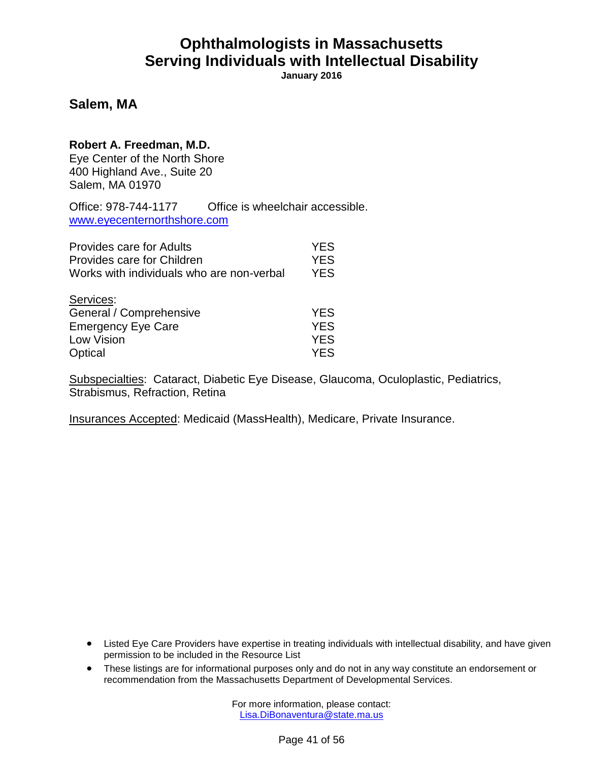**January 2016**

#### **Salem, MA**

#### **Robert A. Freedman, M.D.**

Eye Center of the North Shore 400 Highland Ave., Suite 20 Salem, MA 01970

Office: 978-744-1177 Office is wheelchair accessible. [www.eyecenternorthshore.com](http://www.eyecenternorthshore.com/)

| <b>Provides care for Adults</b>           | <b>YES</b> |
|-------------------------------------------|------------|
| Provides care for Children                | <b>YES</b> |
| Works with individuals who are non-verbal | <b>YES</b> |
| Services:                                 |            |
| General / Comprehensive                   | <b>YES</b> |
| <b>Emergency Eye Care</b>                 | <b>YES</b> |
| <b>Low Vision</b>                         | <b>YES</b> |
| Optical                                   | <b>YES</b> |

Subspecialties: Cataract, Diabetic Eye Disease, Glaucoma, Oculoplastic, Pediatrics, Strabismus, Refraction, Retina

Insurances Accepted: Medicaid (MassHealth), Medicare, Private Insurance.

- Listed Eye Care Providers have expertise in treating individuals with intellectual disability, and have given permission to be included in the Resource List
- These listings are for informational purposes only and do not in any way constitute an endorsement or recommendation from the Massachusetts Department of Developmental Services.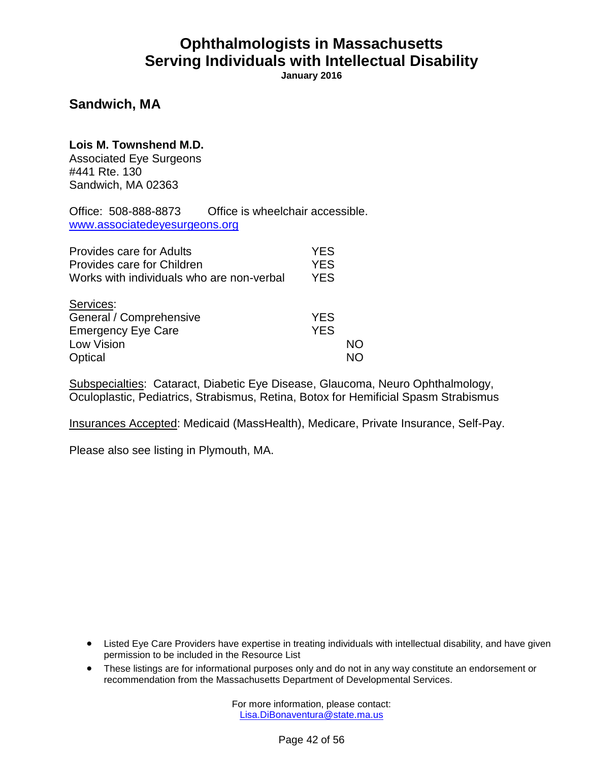**January 2016**

#### **Sandwich, MA**

**Lois M. Townshend M.D.** Associated Eye Surgeons #441 Rte. 130

Sandwich, MA 02363

Office: 508-888-8873 Office is wheelchair accessible. [www.associatedeyesurgeons.org](http://www.associatedeyesurgeons.org/)

| <b>Provides care for Adults</b>           | <b>YES</b> |    |
|-------------------------------------------|------------|----|
| Provides care for Children                | <b>YES</b> |    |
| Works with individuals who are non-verbal | <b>YES</b> |    |
| Services:                                 |            |    |
| General / Comprehensive                   | <b>YES</b> |    |
| <b>Emergency Eye Care</b>                 | <b>YES</b> |    |
| Low Vision                                |            | NO |
| Optical                                   |            |    |

Subspecialties: Cataract, Diabetic Eye Disease, Glaucoma, Neuro Ophthalmology, Oculoplastic, Pediatrics, Strabismus, Retina, Botox for Hemificial Spasm Strabismus

Insurances Accepted: Medicaid (MassHealth), Medicare, Private Insurance, Self-Pay.

Please also see listing in Plymouth, MA.

- Listed Eye Care Providers have expertise in treating individuals with intellectual disability, and have given permission to be included in the Resource List
- These listings are for informational purposes only and do not in any way constitute an endorsement or recommendation from the Massachusetts Department of Developmental Services.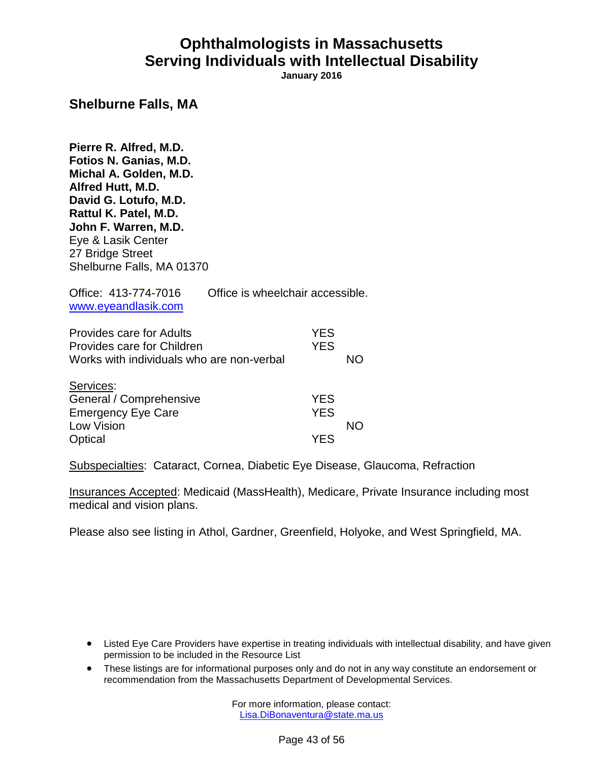**January 2016**

#### **Shelburne Falls, MA**

**Pierre R. Alfred, M.D. Fotios N. Ganias, M.D. Michal A. Golden, M.D. Alfred Hutt, M.D. David G. Lotufo, M.D. Rattul K. Patel, M.D. John F. Warren, M.D.** Eye & Lasik Center 27 Bridge Street Shelburne Falls, MA 01370

| Office: 413-774-7016<br>www.eyeandlasik.com                                                                | Office is wheelchair accessible. |                          |    |
|------------------------------------------------------------------------------------------------------------|----------------------------------|--------------------------|----|
| <b>Provides care for Adults</b><br>Provides care for Children<br>Works with individuals who are non-verbal |                                  | <b>YES</b><br><b>YES</b> | NΟ |
| Services:<br>General / Comprehensive<br><b>Emergency Eye Care</b>                                          |                                  | <b>YES</b><br>YES        |    |

Low Vision **NO** Optical **YES** 

Subspecialties: Cataract, Cornea, Diabetic Eye Disease, Glaucoma, Refraction

Insurances Accepted: Medicaid (MassHealth), Medicare, Private Insurance including most medical and vision plans.

Please also see listing in Athol, Gardner, Greenfield, Holyoke, and West Springfield, MA.

- Listed Eye Care Providers have expertise in treating individuals with intellectual disability, and have given permission to be included in the Resource List
- These listings are for informational purposes only and do not in any way constitute an endorsement or recommendation from the Massachusetts Department of Developmental Services.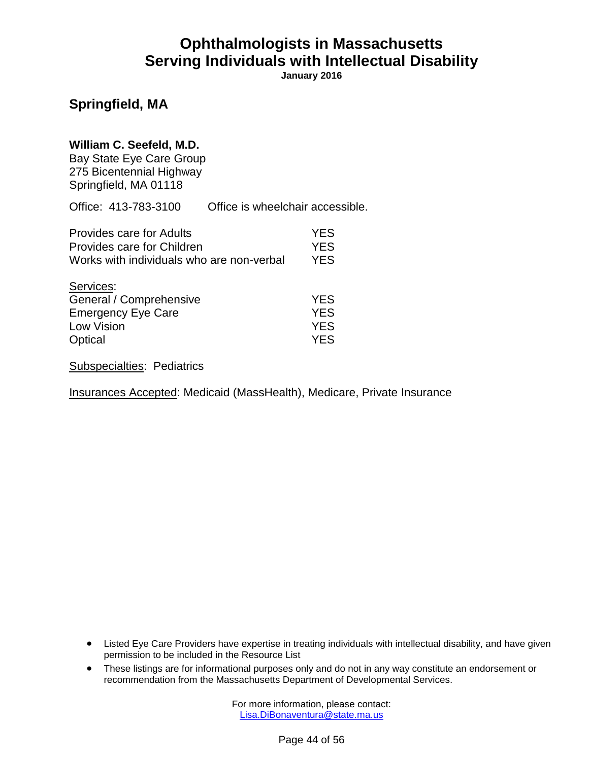**January 2016**

### **Springfield, MA**

#### **William C. Seefeld, M.D.**

Bay State Eye Care Group 275 Bicentennial Highway Springfield, MA 01118

Office: 413-783-3100 Office is wheelchair accessible.

| Provides care for Adults                                                                   | <b>YES</b>                                           |
|--------------------------------------------------------------------------------------------|------------------------------------------------------|
| Provides care for Children                                                                 | <b>YES</b>                                           |
| Works with individuals who are non-verbal                                                  | <b>YES</b>                                           |
| Services:<br>General / Comprehensive<br><b>Emergency Eye Care</b><br>Low Vision<br>Optical | <b>YES</b><br><b>YES</b><br><b>YES</b><br><b>YFS</b> |

Subspecialties: Pediatrics

Insurances Accepted: Medicaid (MassHealth), Medicare, Private Insurance

- Listed Eye Care Providers have expertise in treating individuals with intellectual disability, and have given permission to be included in the Resource List
- These listings are for informational purposes only and do not in any way constitute an endorsement or recommendation from the Massachusetts Department of Developmental Services.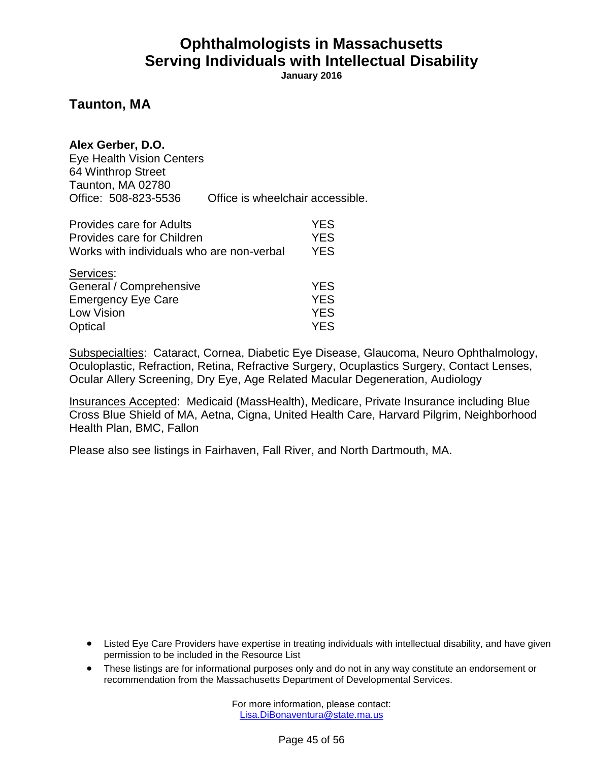**January 2016**

#### **Taunton, MA**

#### **Alex Gerber, D.O.**

Eye Health Vision Centers 64 Winthrop Street Taunton, MA 02780 Office: 508-823-5536 Office is wheelchair accessible.

| <b>Provides care for Adults</b>           | <b>YES</b> |
|-------------------------------------------|------------|
| Provides care for Children                | <b>YES</b> |
| Works with individuals who are non-verbal | <b>YES</b> |
| Services:                                 |            |
| General / Comprehensive                   | <b>YES</b> |
| <b>Emergency Eye Care</b>                 | <b>YES</b> |
| Low Vision                                | <b>YES</b> |
| Optical                                   | <b>YES</b> |

Subspecialties: Cataract, Cornea, Diabetic Eye Disease, Glaucoma, Neuro Ophthalmology, Oculoplastic, Refraction, Retina, Refractive Surgery, Ocuplastics Surgery, Contact Lenses, Ocular Allery Screening, Dry Eye, Age Related Macular Degeneration, Audiology

Insurances Accepted: Medicaid (MassHealth), Medicare, Private Insurance including Blue Cross Blue Shield of MA, Aetna, Cigna, United Health Care, Harvard Pilgrim, Neighborhood Health Plan, BMC, Fallon

Please also see listings in Fairhaven, Fall River, and North Dartmouth, MA.

- Listed Eye Care Providers have expertise in treating individuals with intellectual disability, and have given permission to be included in the Resource List
- These listings are for informational purposes only and do not in any way constitute an endorsement or recommendation from the Massachusetts Department of Developmental Services.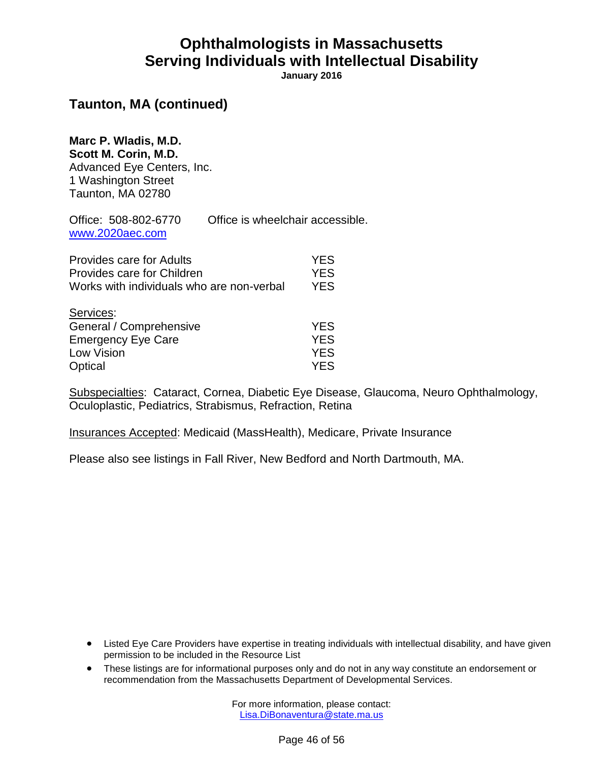**January 2016**

### **Taunton, MA (continued)**

**Marc P. Wladis, M.D. Scott M. Corin, M.D.** Advanced Eye Centers, Inc. 1 Washington Street Taunton, MA 02780

Office: 508-802-6770 Office is wheelchair accessible. [www.2020aec.com](http://www.2020aec.com/)

| <b>Provides care for Adults</b>           | <b>YES</b> |
|-------------------------------------------|------------|
| Provides care for Children                | <b>YES</b> |
| Works with individuals who are non-verbal | <b>YES</b> |
| Services:                                 |            |
| General / Comprehensive                   | <b>YES</b> |
| <b>Emergency Eye Care</b>                 | <b>YES</b> |
| Low Vision                                | <b>YES</b> |
| Optical                                   | <b>YES</b> |

Subspecialties: Cataract, Cornea, Diabetic Eye Disease, Glaucoma, Neuro Ophthalmology, Oculoplastic, Pediatrics, Strabismus, Refraction, Retina

Insurances Accepted: Medicaid (MassHealth), Medicare, Private Insurance

Please also see listings in Fall River, New Bedford and North Dartmouth, MA.

- Listed Eye Care Providers have expertise in treating individuals with intellectual disability, and have given permission to be included in the Resource List
- These listings are for informational purposes only and do not in any way constitute an endorsement or recommendation from the Massachusetts Department of Developmental Services.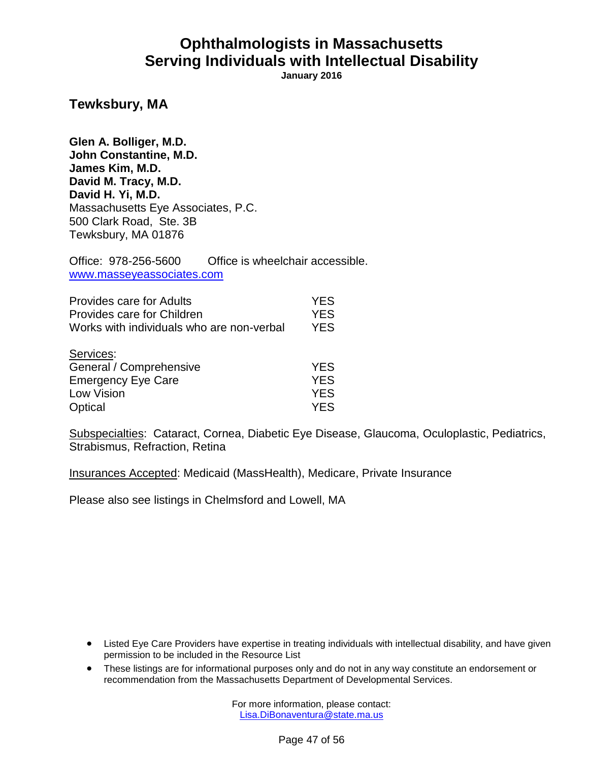**January 2016**

**Tewksbury, MA**

**Glen A. Bolliger, M.D. John Constantine, M.D. James Kim, M.D. David M. Tracy, M.D. David H. Yi, M.D.** Massachusetts Eye Associates, P.C. 500 Clark Road, Ste. 3B Tewksbury, MA 01876

Office: 978-256-5600 Office is wheelchair accessible. [www.masseyeassociates.com](http://www.masseyeassociates.com/)

| Provides care for Adults                  | <b>YES</b> |
|-------------------------------------------|------------|
| Provides care for Children                | <b>YES</b> |
| Works with individuals who are non-verbal | <b>YFS</b> |
| O <sub>nm</sub>                           |            |

| <b>YES</b> |
|------------|
| YES.       |
| <b>YES</b> |
| YFS.       |
|            |

Subspecialties: Cataract, Cornea, Diabetic Eye Disease, Glaucoma, Oculoplastic, Pediatrics, Strabismus, Refraction, Retina

Insurances Accepted: Medicaid (MassHealth), Medicare, Private Insurance

Please also see listings in Chelmsford and Lowell, MA

- Listed Eye Care Providers have expertise in treating individuals with intellectual disability, and have given permission to be included in the Resource List
- These listings are for informational purposes only and do not in any way constitute an endorsement or recommendation from the Massachusetts Department of Developmental Services.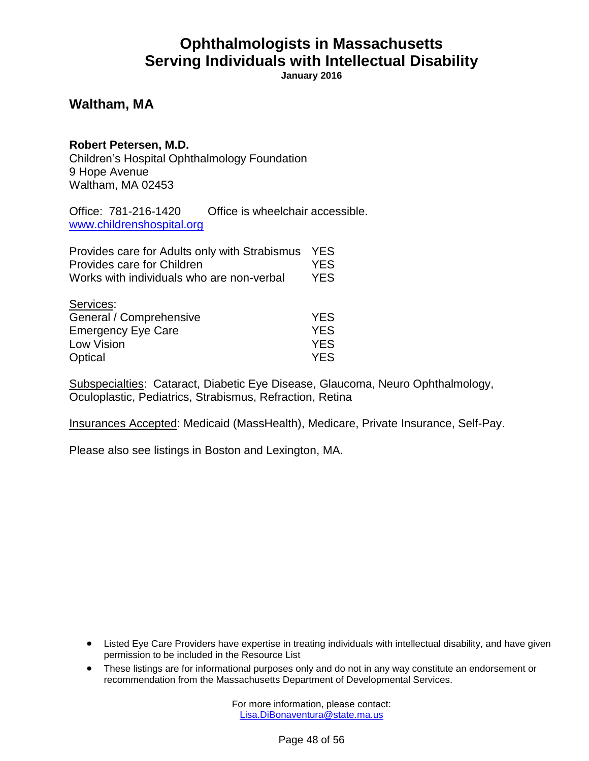**January 2016**

#### **Waltham, MA**

#### **Robert Petersen, M.D.**

Children's Hospital Ophthalmology Foundation 9 Hope Avenue Waltham, MA 02453

Office: 781-216-1420 Office is wheelchair accessible. [www.childrenshospital.org](http://www.childrenshospital.org/)

| Provides care for Adults only with Strabismus | <b>YES</b> |
|-----------------------------------------------|------------|
| Provides care for Children                    | <b>YES</b> |
| Works with individuals who are non-verbal     | <b>YES</b> |
| Services:                                     |            |
| General / Comprehensive                       | <b>YES</b> |
| <b>Emergency Eye Care</b>                     | <b>YES</b> |
| Low Vision                                    | YES.       |

Optical YES

Subspecialties: Cataract, Diabetic Eye Disease, Glaucoma, Neuro Ophthalmology, Oculoplastic, Pediatrics, Strabismus, Refraction, Retina

Insurances Accepted: Medicaid (MassHealth), Medicare, Private Insurance, Self-Pay.

Please also see listings in Boston and Lexington, MA.

- Listed Eye Care Providers have expertise in treating individuals with intellectual disability, and have given permission to be included in the Resource List
- These listings are for informational purposes only and do not in any way constitute an endorsement or recommendation from the Massachusetts Department of Developmental Services.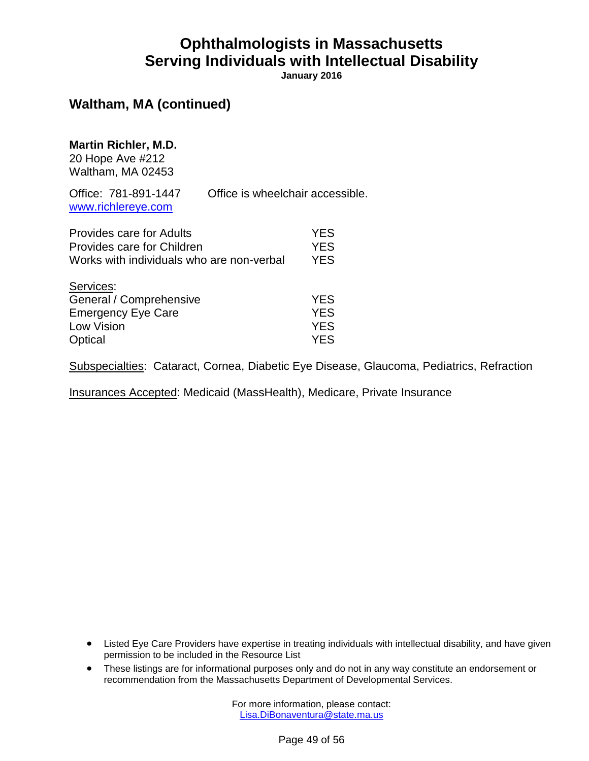**January 2016**

#### **Waltham, MA (continued)**

#### **Martin Richler, M.D.**

20 Hope Ave #212 Waltham, MA 02453

Office: 781-891-1447 Office is wheelchair accessible. [www.richlereye.com](http://www.richlereye.com/)

| Provides care for Adults<br>Provides care for Children | <b>YES</b><br><b>YES</b> |
|--------------------------------------------------------|--------------------------|
| Works with individuals who are non-verbal              | <b>YES</b>               |
| Services:                                              |                          |
| General / Comprehensive                                | <b>YES</b>               |
| <b>Emergency Eye Care</b>                              | <b>YES</b>               |
| Low Vision                                             | <b>YES</b>               |
| Optical                                                | YFS.                     |

Subspecialties: Cataract, Cornea, Diabetic Eye Disease, Glaucoma, Pediatrics, Refraction

Insurances Accepted: Medicaid (MassHealth), Medicare, Private Insurance

- Listed Eye Care Providers have expertise in treating individuals with intellectual disability, and have given permission to be included in the Resource List
- These listings are for informational purposes only and do not in any way constitute an endorsement or recommendation from the Massachusetts Department of Developmental Services.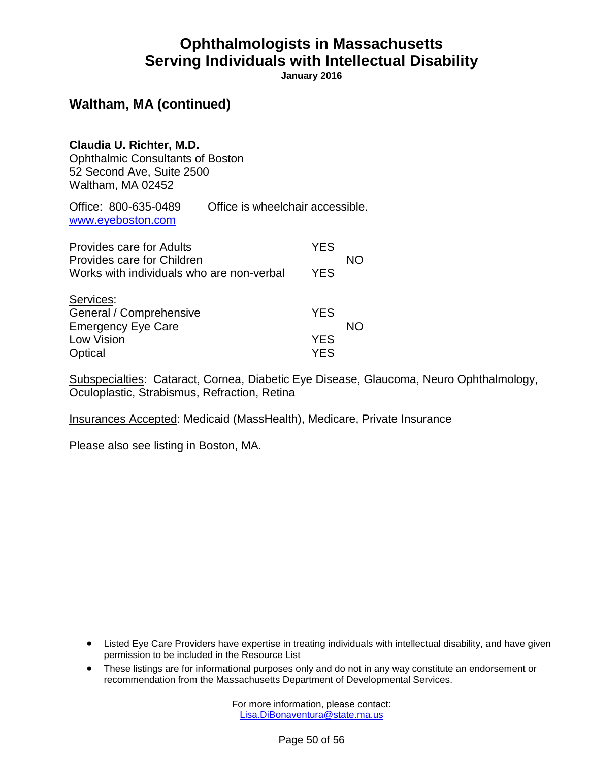**January 2016**

#### **Waltham, MA (continued)**

**Claudia U. Richter, M.D.** Ophthalmic Consultants of Boston 52 Second Ave, Suite 2500 Waltham, MA 02452

Office: 800-635-0489 Office is wheelchair accessible. [www.eyeboston.com](http://www.eyeboston.com/)

| <b>Provides care for Adults</b>                                         | <b>YES</b>               |    |
|-------------------------------------------------------------------------|--------------------------|----|
| Provides care for Children<br>Works with individuals who are non-verbal | <b>YES</b>               | NΟ |
| Services:<br>General / Comprehensive<br><b>Emergency Eye Care</b>       | <b>YES</b>               | NΟ |
| Low Vision<br>Optical                                                   | <b>YES</b><br><b>YFS</b> |    |

Subspecialties: Cataract, Cornea, Diabetic Eye Disease, Glaucoma, Neuro Ophthalmology, Oculoplastic, Strabismus, Refraction, Retina

Insurances Accepted: Medicaid (MassHealth), Medicare, Private Insurance

Please also see listing in Boston, MA.

- Listed Eye Care Providers have expertise in treating individuals with intellectual disability, and have given permission to be included in the Resource List
- These listings are for informational purposes only and do not in any way constitute an endorsement or recommendation from the Massachusetts Department of Developmental Services.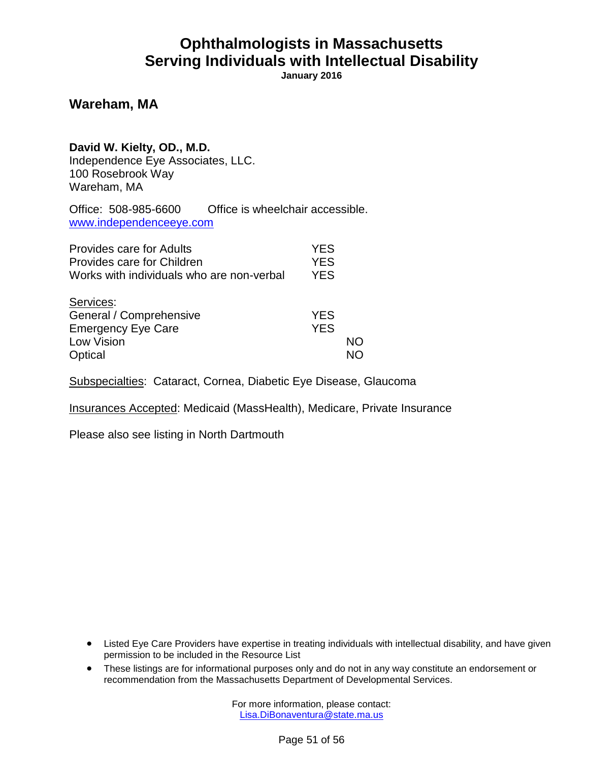**January 2016**

#### **Wareham, MA**

#### **David W. Kielty, OD., M.D.**

Independence Eye Associates, LLC. 100 Rosebrook Way Wareham, MA

Office: 508-985-6600 Office is wheelchair accessible. [www.independenceeye.com](http://www.independenceeye.com/)

| <b>Provides care for Adults</b><br>Provides care for Children<br>Works with individuals who are non-verbal | <b>YES</b><br><b>YES</b><br><b>YES</b> |    |
|------------------------------------------------------------------------------------------------------------|----------------------------------------|----|
| Services:<br>General / Comprehensive<br><b>Emergency Eye Care</b><br>Low Vision<br>Optical                 | <b>YES</b><br><b>YES</b>               | NΟ |

Subspecialties: Cataract, Cornea, Diabetic Eye Disease, Glaucoma

Insurances Accepted: Medicaid (MassHealth), Medicare, Private Insurance

Please also see listing in North Dartmouth

- Listed Eye Care Providers have expertise in treating individuals with intellectual disability, and have given permission to be included in the Resource List
- These listings are for informational purposes only and do not in any way constitute an endorsement or recommendation from the Massachusetts Department of Developmental Services.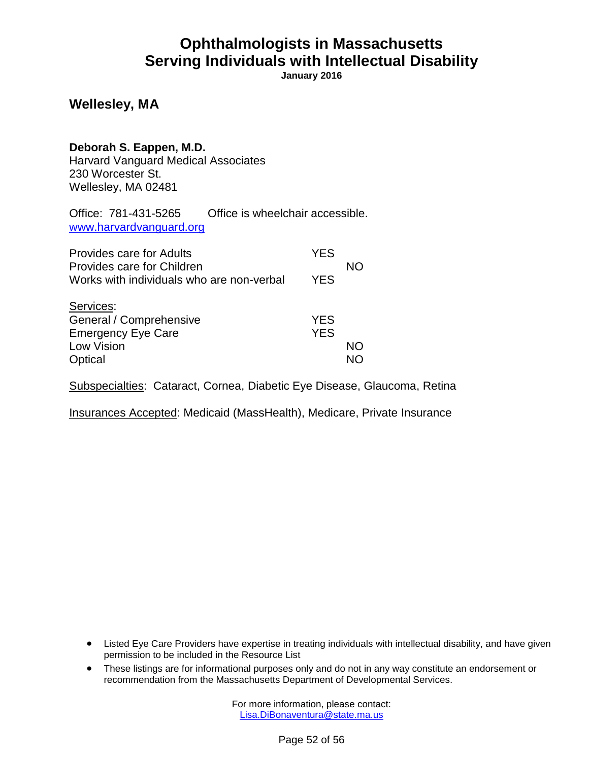**January 2016**

#### **Wellesley, MA**

#### **Deborah S. Eappen, M.D.**

Harvard Vanguard Medical Associates 230 Worcester St. Wellesley, MA 02481

Office: 781-431-5265 Office is wheelchair accessible. [www.harvardvanguard.org](file:///C:/Users/kkenney/AppData/Local/Microsoft/Windows/Temporary%20Internet%20Files/Content.Outlook/URHXM8IE/www.harvardvanguard.org)

| <b>Provides care for Adults</b><br>Provides care for Children                              | <b>YES</b>               | NΟ |
|--------------------------------------------------------------------------------------------|--------------------------|----|
| Works with individuals who are non-verbal                                                  | <b>YES</b>               |    |
| Services:<br>General / Comprehensive<br><b>Emergency Eye Care</b><br>Low Vision<br>Optical | <b>YES</b><br><b>YES</b> | NΟ |

Subspecialties: Cataract, Cornea, Diabetic Eye Disease, Glaucoma, Retina

Insurances Accepted: Medicaid (MassHealth), Medicare, Private Insurance

- Listed Eye Care Providers have expertise in treating individuals with intellectual disability, and have given permission to be included in the Resource List
- These listings are for informational purposes only and do not in any way constitute an endorsement or recommendation from the Massachusetts Department of Developmental Services.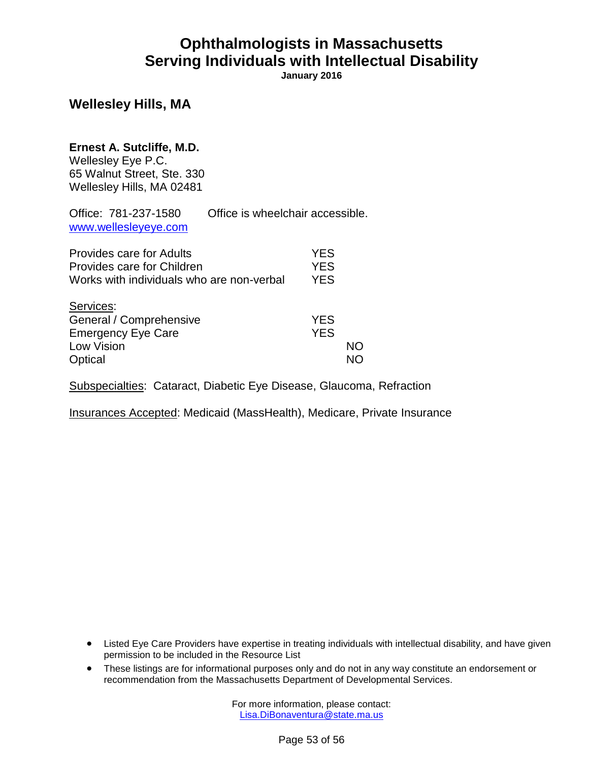**January 2016**

#### **Wellesley Hills, MA**

#### **Ernest A. Sutcliffe, M.D.**

Wellesley Eye P.C. 65 Walnut Street, Ste. 330 Wellesley Hills, MA 02481

| Office: 781-237-1580<br>www.wellesleyeye.com                                                        | Office is wheelchair accessible. |                                        |    |
|-----------------------------------------------------------------------------------------------------|----------------------------------|----------------------------------------|----|
| Provides care for Adults<br>Provides care for Children<br>Works with individuals who are non-verbal |                                  | <b>YES</b><br><b>YES</b><br><b>YES</b> |    |
| Services:<br>General / Comprehensive<br><b>Emergency Eye Care</b><br>Low Vision<br>Optical          |                                  | <b>YES</b><br><b>YES</b>               | NΟ |

Subspecialties: Cataract, Diabetic Eye Disease, Glaucoma, Refraction

Insurances Accepted: Medicaid (MassHealth), Medicare, Private Insurance

- Listed Eye Care Providers have expertise in treating individuals with intellectual disability, and have given permission to be included in the Resource List
- These listings are for informational purposes only and do not in any way constitute an endorsement or recommendation from the Massachusetts Department of Developmental Services.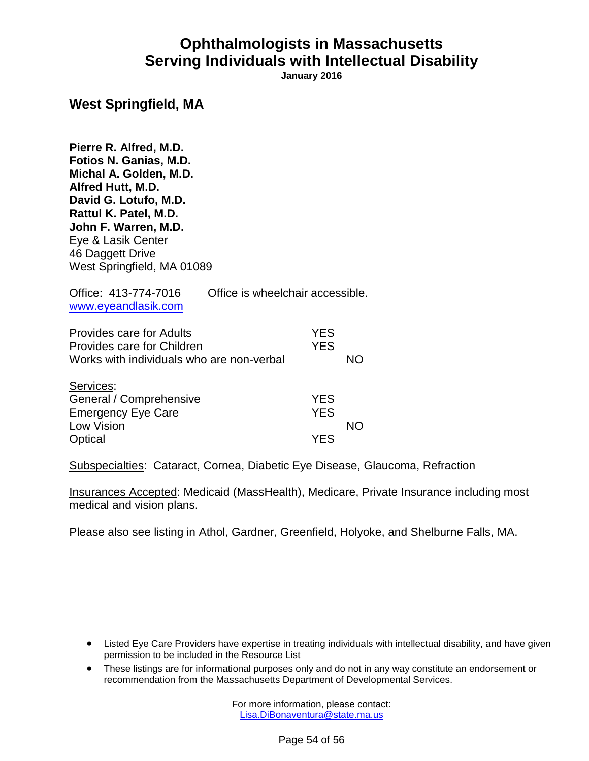**January 2016**

#### **West Springfield, MA**

**Pierre R. Alfred, M.D. Fotios N. Ganias, M.D. Michal A. Golden, M.D. Alfred Hutt, M.D. David G. Lotufo, M.D. Rattul K. Patel, M.D. John F. Warren, M.D.** Eye & Lasik Center 46 Daggett Drive West Springfield, MA 01089

| Office: 413-774-7016<br>www.eyeandlasik.com                                                                | Office is wheelchair accessible. |                          |    |
|------------------------------------------------------------------------------------------------------------|----------------------------------|--------------------------|----|
| <b>Provides care for Adults</b><br>Provides care for Children<br>Works with individuals who are non-verbal |                                  | <b>YES</b><br><b>YES</b> | NΟ |
| Services:<br>General / Comprehensive<br><b>Emergency Eye Care</b><br>Low Vision                            |                                  | <b>YES</b><br><b>YES</b> |    |

Optical YES

Subspecialties: Cataract, Cornea, Diabetic Eye Disease, Glaucoma, Refraction

Insurances Accepted: Medicaid (MassHealth), Medicare, Private Insurance including most medical and vision plans.

Please also see listing in Athol, Gardner, Greenfield, Holyoke, and Shelburne Falls, MA.

- Listed Eye Care Providers have expertise in treating individuals with intellectual disability, and have given permission to be included in the Resource List
- These listings are for informational purposes only and do not in any way constitute an endorsement or recommendation from the Massachusetts Department of Developmental Services.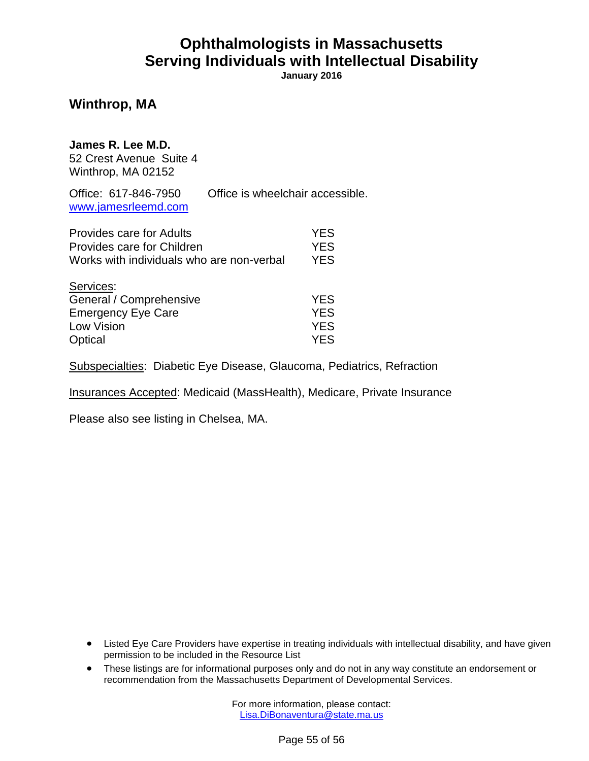**January 2016**

### **Winthrop, MA**

#### **James R. Lee M.D.**

52 Crest Avenue Suite 4 Winthrop, MA 02152

Office: 617-846-7950 Office is wheelchair accessible. [www.jamesrleemd.com](http://www.jamesrleemd.com/)

| <b>Provides care for Adults</b>           | <b>YES</b> |
|-------------------------------------------|------------|
| Provides care for Children                | <b>YES</b> |
| Works with individuals who are non-verbal | <b>YES</b> |
| Services:                                 |            |
| General / Comprehensive                   | <b>YES</b> |
| <b>Emergency Eye Care</b>                 | <b>YES</b> |
| Low Vision                                | <b>YES</b> |
| Optical                                   | YES.       |

Subspecialties: Diabetic Eye Disease, Glaucoma, Pediatrics, Refraction

Insurances Accepted: Medicaid (MassHealth), Medicare, Private Insurance

Please also see listing in Chelsea, MA.

- Listed Eye Care Providers have expertise in treating individuals with intellectual disability, and have given permission to be included in the Resource List
- These listings are for informational purposes only and do not in any way constitute an endorsement or recommendation from the Massachusetts Department of Developmental Services.